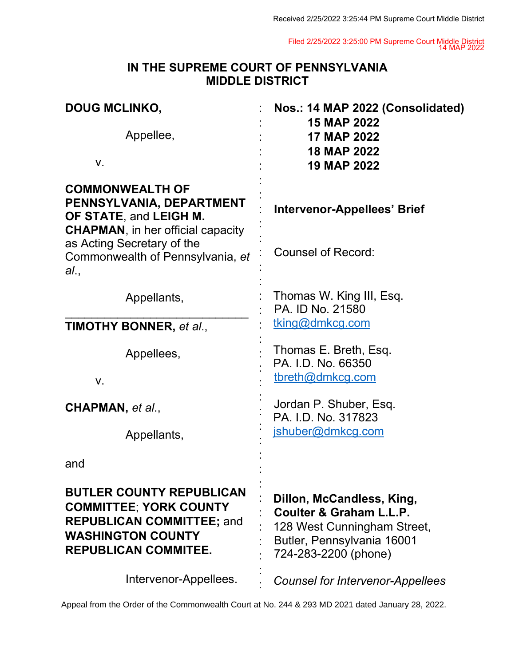Filed 2/25/2022 3:25:00 PM Supreme Court Middle District 14 MAP 2022

## **IN THE SUPREME COURT OF PENNSYLVANIA MIDDLE DISTRICT**

| <b>DOUG MCLINKO,</b>                                                                                                                                            | Nos.: 14 MAP 2022 (Consolidated)<br><b>15 MAP 2022</b><br><b>17 MAP 2022</b><br><b>18 MAP 2022</b><br><b>19 MAP 2022</b>                  |  |
|-----------------------------------------------------------------------------------------------------------------------------------------------------------------|-------------------------------------------------------------------------------------------------------------------------------------------|--|
| Appellee,<br>٧.                                                                                                                                                 |                                                                                                                                           |  |
| <b>COMMONWEALTH OF</b><br>PENNSYLVANIA, DEPARTMENT<br>OF STATE, and LEIGH M.<br><b>CHAPMAN, in her official capacity</b>                                        | Intervenor-Appellees' Brief                                                                                                               |  |
| as Acting Secretary of the<br>Commonwealth of Pennsylvania, et<br>al.,                                                                                          | <b>Counsel of Record:</b>                                                                                                                 |  |
| Appellants,                                                                                                                                                     | Thomas W. King III, Esq.<br>PA. ID No. 21580                                                                                              |  |
| <b>TIMOTHY BONNER, et al.,</b>                                                                                                                                  | tking@dmkcg.com                                                                                                                           |  |
| Appellees,                                                                                                                                                      | Thomas E. Breth, Esq.<br>PA. I.D. No. 66350<br>tbreth@dmkcg.com<br>Jordan P. Shuber, Esq.<br>PA. I.D. No. 317823                          |  |
| V.                                                                                                                                                              |                                                                                                                                           |  |
| CHAPMAN, et al.,                                                                                                                                                |                                                                                                                                           |  |
| Appellants,                                                                                                                                                     | jshuber@dmkcg.com                                                                                                                         |  |
| and                                                                                                                                                             |                                                                                                                                           |  |
| <b>BUTLER COUNTY REPUBLICAN</b><br><b>COMMITTEE; YORK COUNTY</b><br><b>REPUBLICAN COMMITTEE; and</b><br><b>WASHINGTON COUNTY</b><br><b>REPUBLICAN COMMITEE.</b> | Dillon, McCandless, King,<br>Coulter & Graham L.L.P.<br>128 West Cunningham Street,<br>Butler, Pennsylvania 16001<br>724-283-2200 (phone) |  |
| Intervenor-Appellees.                                                                                                                                           | <b>Counsel for Intervenor-Appellees</b>                                                                                                   |  |

Appeal from the Order of the Commonwealth Court at No. 244 & 293 MD 2021 dated January 28, 2022.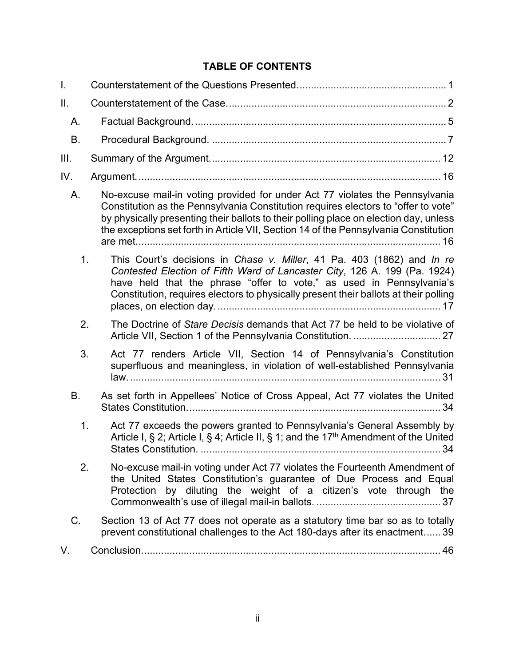### **TABLE OF CONTENTS**

| I.  |                                                                                                                                                                                                                                                                                                                                                     |
|-----|-----------------------------------------------------------------------------------------------------------------------------------------------------------------------------------------------------------------------------------------------------------------------------------------------------------------------------------------------------|
| Ⅱ.  |                                                                                                                                                                                                                                                                                                                                                     |
| Α.  |                                                                                                                                                                                                                                                                                                                                                     |
| B.  |                                                                                                                                                                                                                                                                                                                                                     |
| Ш.  |                                                                                                                                                                                                                                                                                                                                                     |
| IV. |                                                                                                                                                                                                                                                                                                                                                     |
| А.  | No-excuse mail-in voting provided for under Act 77 violates the Pennsylvania<br>Constitution as the Pennsylvania Constitution requires electors to "offer to vote"<br>by physically presenting their ballots to their polling place on election day, unless<br>the exceptions set forth in Article VII, Section 14 of the Pennsylvania Constitution |
| 1.  | This Court's decisions in Chase v. Miller, 41 Pa. 403 (1862) and In re<br>Contested Election of Fifth Ward of Lancaster City, 126 A. 199 (Pa. 1924)<br>have held that the phrase "offer to vote," as used in Pennsylvania's<br>Constitution, requires electors to physically present their ballots at their polling                                 |
| 2.  | The Doctrine of Stare Decisis demands that Act 77 be held to be violative of                                                                                                                                                                                                                                                                        |
| 3.  | Act 77 renders Article VII, Section 14 of Pennsylvania's Constitution<br>superfluous and meaningless, in violation of well-established Pennsylvania                                                                                                                                                                                                 |
| B.  | As set forth in Appellees' Notice of Cross Appeal, Act 77 violates the United                                                                                                                                                                                                                                                                       |
| 1.  | Act 77 exceeds the powers granted to Pennsylvania's General Assembly by<br>Article I, § 2; Article I, § 4; Article II, § 1; and the $17th$ Amendment of the United                                                                                                                                                                                  |
| 2.  | No-excuse mail-in voting under Act 77 violates the Fourteenth Amendment of<br>the United States Constitution's guarantee of Due Process and Equal<br>Protection by diluting the weight of a citizen's vote through the                                                                                                                              |
| C.  | Section 13 of Act 77 does not operate as a statutory time bar so as to totally<br>prevent constitutional challenges to the Act 180-days after its enactment 39                                                                                                                                                                                      |
| V.  |                                                                                                                                                                                                                                                                                                                                                     |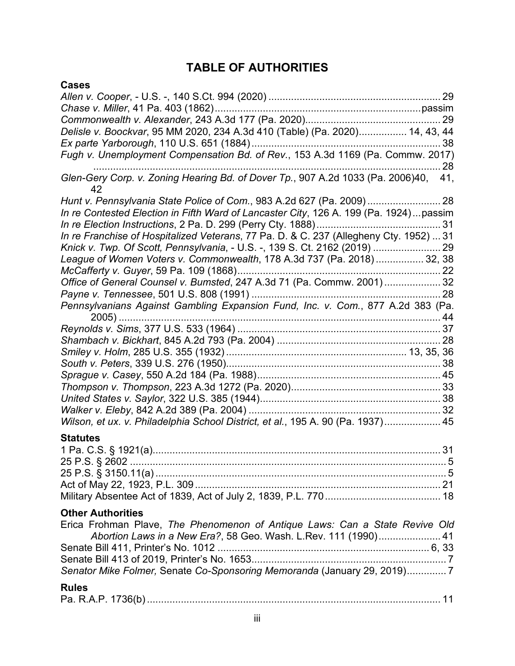## **TABLE OF AUTHORITIES**

| <b>Cases</b>                                                                              |
|-------------------------------------------------------------------------------------------|
|                                                                                           |
|                                                                                           |
|                                                                                           |
| Delisle v. Boockvar, 95 MM 2020, 234 A.3d 410 (Table) (Pa. 2020) 14, 43, 44               |
|                                                                                           |
| Fugh v. Unemployment Compensation Bd. of Rev., 153 A.3d 1169 (Pa. Commw. 2017)            |
| Glen-Gery Corp. v. Zoning Hearing Bd. of Dover Tp., 907 A.2d 1033 (Pa. 2006)40, 41,<br>42 |
| Hunt v. Pennsylvania State Police of Com., 983 A.2d 627 (Pa. 2009)  28                    |
| In re Contested Election in Fifth Ward of Lancaster City, 126 A. 199 (Pa. 1924) passim    |
|                                                                                           |
| In re Franchise of Hospitalized Veterans, 77 Pa. D. & C. 237 (Allegheny Cty. 1952)  31    |
| Knick v. Twp. Of Scott, Pennsylvania, - U.S. -, 139 S. Ct. 2162 (2019)  29                |
| League of Women Voters v. Commonwealth, 178 A.3d 737 (Pa. 2018) 32, 38                    |
|                                                                                           |
| Office of General Counsel v. Bumsted, 247 A.3d 71 (Pa. Commw. 2001)  32                   |
|                                                                                           |
| Pennsylvanians Against Gambling Expansion Fund, Inc. v. Com., 877 A.2d 383 (Pa.           |
|                                                                                           |
|                                                                                           |
|                                                                                           |
|                                                                                           |
|                                                                                           |
|                                                                                           |
|                                                                                           |
|                                                                                           |
| Wilson, et ux. v. Philadelphia School District, et al., 195 A. 90 (Pa. 1937) 45           |
| <b>Statutes</b>                                                                           |
|                                                                                           |
|                                                                                           |
|                                                                                           |
|                                                                                           |
|                                                                                           |
| <b>Other Authorities</b>                                                                  |
| Erica Frohman Plave, The Phenomenon of Antique Laws: Can a State Revive Old               |
| Abortion Laws in a New Era?, 58 Geo. Wash. L.Rev. 111 (1990) 41                           |
|                                                                                           |
|                                                                                           |
| Senator Mike Folmer, Senate Co-Sponsoring Memoranda (January 29, 2019)7                   |
| <b>Rules</b>                                                                              |
|                                                                                           |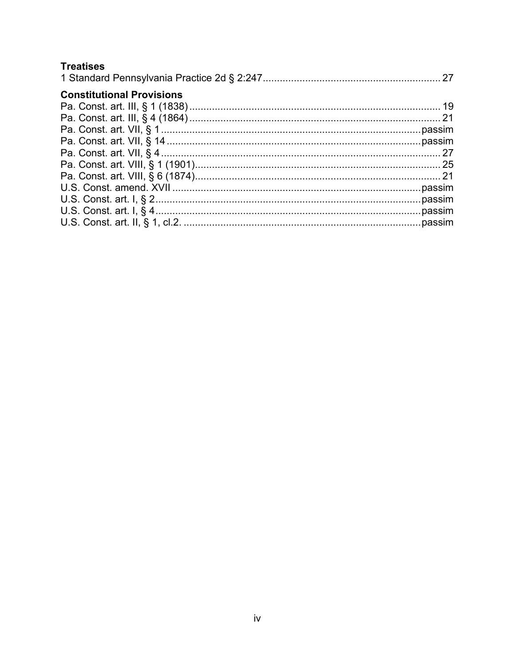### **Treatises**

| <b>Constitutional Provisions</b> |  |
|----------------------------------|--|
|                                  |  |
|                                  |  |
|                                  |  |
|                                  |  |
|                                  |  |
|                                  |  |
|                                  |  |
|                                  |  |
|                                  |  |
|                                  |  |
|                                  |  |
|                                  |  |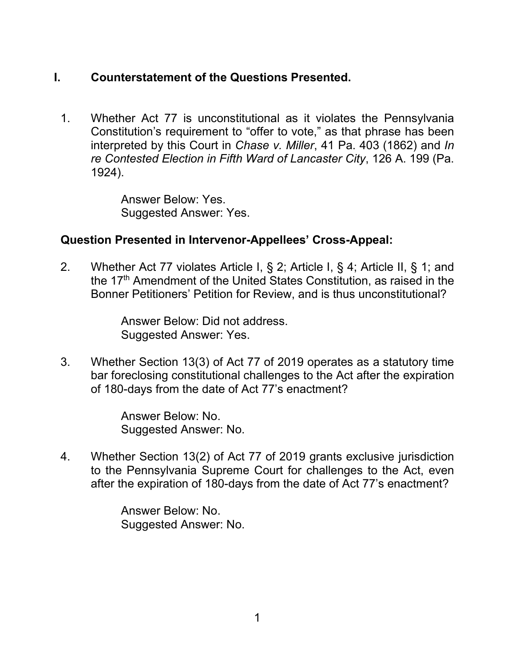## <span id="page-4-0"></span>**I. Counterstatement of the Questions Presented.**

1. Whether Act 77 is unconstitutional as it violates the Pennsylvania Constitution's requirement to "offer to vote," as that phrase has been interpreted by this Court in *Chase v. Miller*, 41 Pa. 403 (1862) and *In re Contested Election in Fifth Ward of Lancaster City*, 126 A. 199 (Pa. 1924).

> Answer Below: Yes. Suggested Answer: Yes.

### **Question Presented in Intervenor-Appellees' Cross-Appeal:**

2. Whether Act 77 violates Article I, § 2; Article I, § 4; Article II, § 1; and the 17<sup>th</sup> Amendment of the United States Constitution, as raised in the Bonner Petitioners' Petition for Review, and is thus unconstitutional?

> Answer Below: Did not address. Suggested Answer: Yes.

3. Whether Section 13(3) of Act 77 of 2019 operates as a statutory time bar foreclosing constitutional challenges to the Act after the expiration of 180-days from the date of Act 77's enactment?

> Answer Below: No. Suggested Answer: No.

4. Whether Section 13(2) of Act 77 of 2019 grants exclusive jurisdiction to the Pennsylvania Supreme Court for challenges to the Act, even after the expiration of 180-days from the date of Act 77's enactment?

> Answer Below: No. Suggested Answer: No.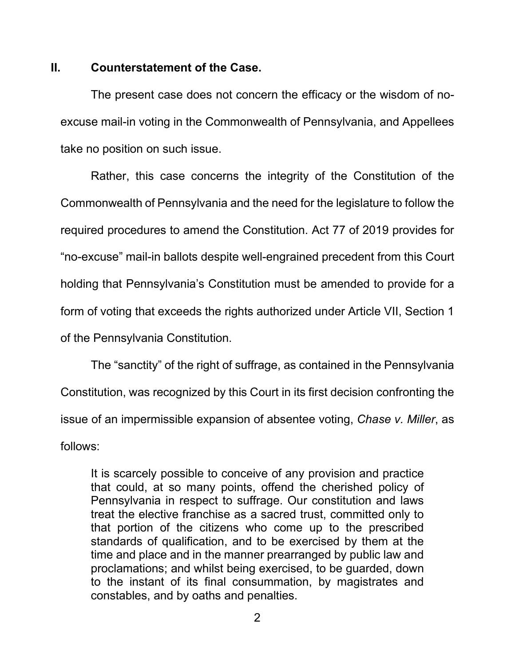#### <span id="page-5-0"></span>**II. Counterstatement of the Case.**

The present case does not concern the efficacy or the wisdom of noexcuse mail-in voting in the Commonwealth of Pennsylvania, and Appellees take no position on such issue.

Rather, this case concerns the integrity of the Constitution of the Commonwealth of Pennsylvania and the need for the legislature to follow the required procedures to amend the Constitution. Act 77 of 2019 provides for "no-excuse" mail-in ballots despite well-engrained precedent from this Court holding that Pennsylvania's Constitution must be amended to provide for a form of voting that exceeds the rights authorized under Article VII, Section 1 of the Pennsylvania Constitution.

The "sanctity" of the right of suffrage, as contained in the Pennsylvania Constitution, was recognized by this Court in its first decision confronting the issue of an impermissible expansion of absentee voting, *Chase v. Miller*, as follows:

It is scarcely possible to conceive of any provision and practice that could, at so many points, offend the cherished policy of Pennsylvania in respect to suffrage. Our constitution and laws treat the elective franchise as a sacred trust, committed only to that portion of the citizens who come up to the prescribed standards of qualification, and to be exercised by them at the time and place and in the manner prearranged by public law and proclamations; and whilst being exercised, to be guarded, down to the instant of its final consummation, by magistrates and constables, and by oaths and penalties.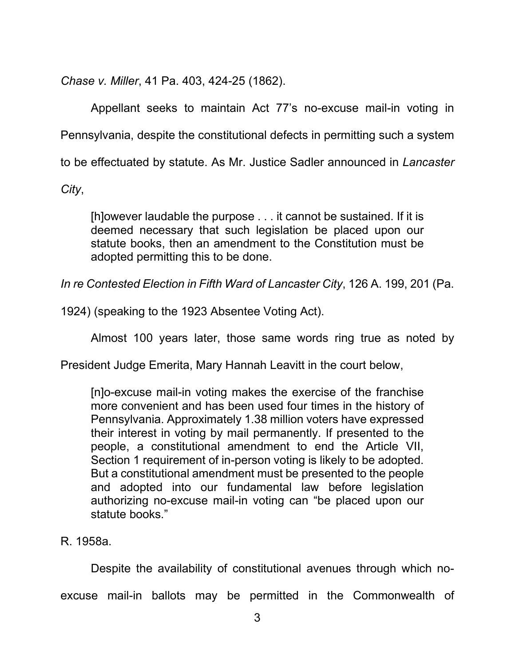*Chase v. Miller*, 41 Pa. 403, 424-25 (1862).

Appellant seeks to maintain Act 77's no-excuse mail-in voting in Pennsylvania, despite the constitutional defects in permitting such a system to be effectuated by statute. As Mr. Justice Sadler announced in *Lancaster* 

*City*,

[h]owever laudable the purpose . . . it cannot be sustained. If it is deemed necessary that such legislation be placed upon our statute books, then an amendment to the Constitution must be adopted permitting this to be done.

*In re Contested Election in Fifth Ward of Lancaster City*, 126 A. 199, 201 (Pa.

1924) (speaking to the 1923 Absentee Voting Act).

Almost 100 years later, those same words ring true as noted by

President Judge Emerita, Mary Hannah Leavitt in the court below,

[n]o-excuse mail-in voting makes the exercise of the franchise more convenient and has been used four times in the history of Pennsylvania. Approximately 1.38 million voters have expressed their interest in voting by mail permanently. If presented to the people, a constitutional amendment to end the Article VII, Section 1 requirement of in-person voting is likely to be adopted. But a constitutional amendment must be presented to the people and adopted into our fundamental law before legislation authorizing no-excuse mail-in voting can "be placed upon our statute books."

### R. 1958a.

Despite the availability of constitutional avenues through which noexcuse mail-in ballots may be permitted in the Commonwealth of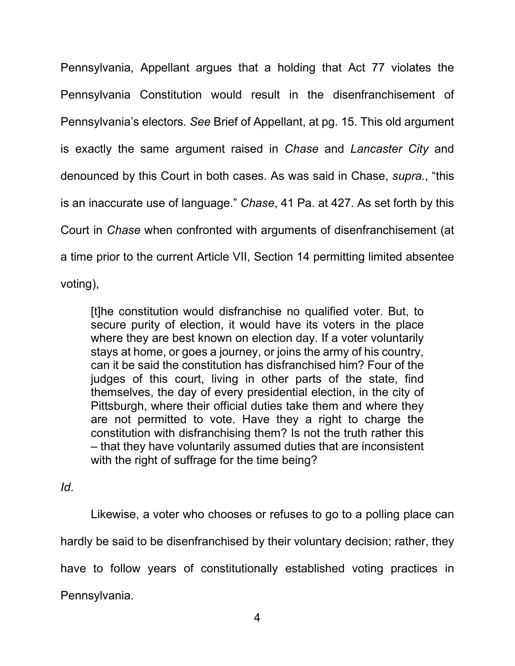Pennsylvania, Appellant argues that a holding that Act 77 violates the Pennsylvania Constitution would result in the disenfranchisement of Pennsylvania's electors. *See* Brief of Appellant, at pg. 15. This old argument is exactly the same argument raised in *Chase* and *Lancaster City* and denounced by this Court in both cases. As was said in Chase, *supra.*, "this is an inaccurate use of language." *Chase*, 41 Pa. at 427. As set forth by this Court in *Chase* when confronted with arguments of disenfranchisement (at a time prior to the current Article VII, Section 14 permitting limited absentee voting),

[t]he constitution would disfranchise no qualified voter. But, to secure purity of election, it would have its voters in the place where they are best known on election day. If a voter voluntarily stays at home, or goes a journey, or joins the army of his country, can it be said the constitution has disfranchised him? Four of the judges of this court, living in other parts of the state, find themselves, the day of every presidential election, in the city of Pittsburgh, where their official duties take them and where they are not permitted to vote. Have they a right to charge the constitution with disfranchising them? Is not the truth rather this – that they have voluntarily assumed duties that are inconsistent with the right of suffrage for the time being?

*Id*.

Likewise, a voter who chooses or refuses to go to a polling place can hardly be said to be disenfranchised by their voluntary decision; rather, they have to follow years of constitutionally established voting practices in Pennsylvania.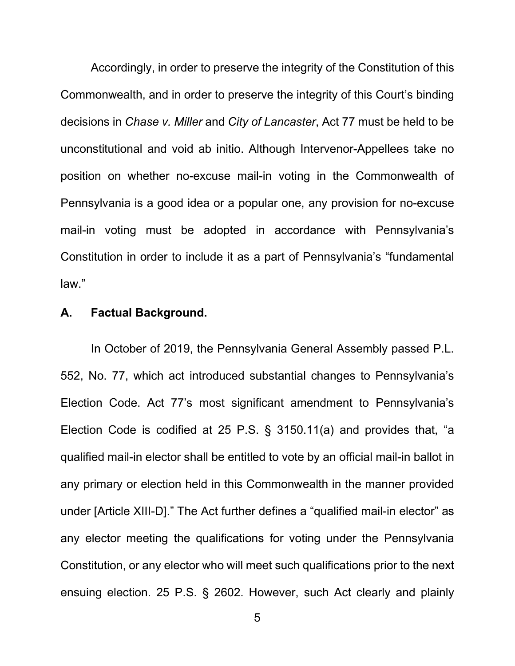Accordingly, in order to preserve the integrity of the Constitution of this Commonwealth, and in order to preserve the integrity of this Court's binding decisions in *Chase v. Miller* and *City of Lancaster*, Act 77 must be held to be unconstitutional and void ab initio. Although Intervenor-Appellees take no position on whether no-excuse mail-in voting in the Commonwealth of Pennsylvania is a good idea or a popular one, any provision for no-excuse mail-in voting must be adopted in accordance with Pennsylvania's Constitution in order to include it as a part of Pennsylvania's "fundamental law."

#### <span id="page-8-0"></span>**A. Factual Background.**

In October of 2019, the Pennsylvania General Assembly passed P.L. 552, No. 77, which act introduced substantial changes to Pennsylvania's Election Code. Act 77's most significant amendment to Pennsylvania's Election Code is codified at 25 P.S. § 3150.11(a) and provides that, "a qualified mail-in elector shall be entitled to vote by an official mail-in ballot in any primary or election held in this Commonwealth in the manner provided under [Article XIII-D]." The Act further defines a "qualified mail-in elector" as any elector meeting the qualifications for voting under the Pennsylvania Constitution, or any elector who will meet such qualifications prior to the next ensuing election. 25 P.S. § 2602. However, such Act clearly and plainly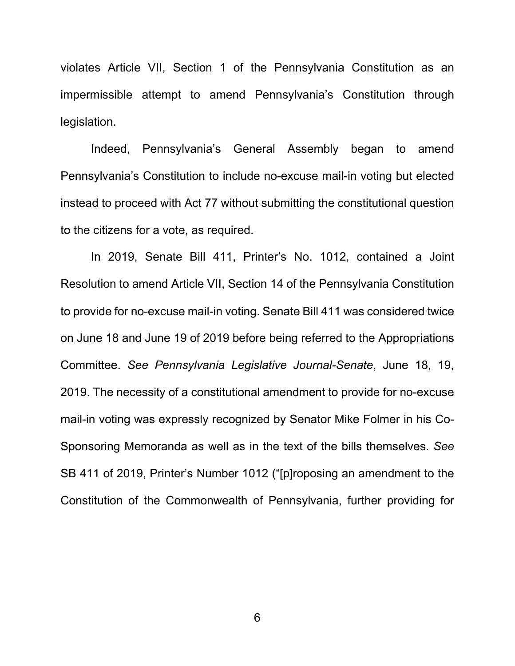violates Article VII, Section 1 of the Pennsylvania Constitution as an impermissible attempt to amend Pennsylvania's Constitution through legislation.

Indeed, Pennsylvania's General Assembly began to amend Pennsylvania's Constitution to include no-excuse mail-in voting but elected instead to proceed with Act 77 without submitting the constitutional question to the citizens for a vote, as required.

In 2019, Senate Bill 411, Printer's No. 1012, contained a Joint Resolution to amend Article VII, Section 14 of the Pennsylvania Constitution to provide for no-excuse mail-in voting. Senate Bill 411 was considered twice on June 18 and June 19 of 2019 before being referred to the Appropriations Committee. *See Pennsylvania Legislative Journal-Senate*, June 18, 19, 2019. The necessity of a constitutional amendment to provide for no-excuse mail-in voting was expressly recognized by Senator Mike Folmer in his Co-Sponsoring Memoranda as well as in the text of the bills themselves. *See* SB 411 of 2019, Printer's Number 1012 ("[p]roposing an amendment to the Constitution of the Commonwealth of Pennsylvania, further providing for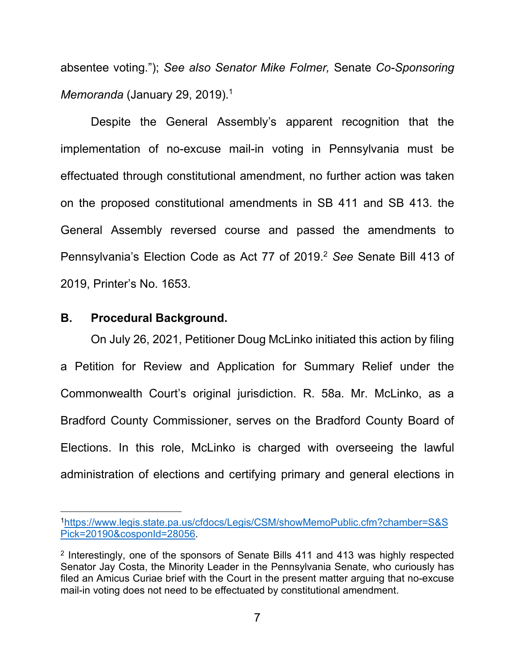absentee voting."); *See also Senator Mike Folmer,* Senate *Co-Sponsoring Memoranda* (January 29, 2019).<sup>1</sup>

Despite the General Assembly's apparent recognition that the implementation of no-excuse mail-in voting in Pennsylvania must be effectuated through constitutional amendment, no further action was taken on the proposed constitutional amendments in SB 411 and SB 413. the General Assembly reversed course and passed the amendments to Pennsylvania's Election Code as Act 77 of 2019.<sup>2</sup> *See* Senate Bill 413 of 2019, Printer's No. 1653.

#### <span id="page-10-0"></span>**B. Procedural Background.**

On July 26, 2021, Petitioner Doug McLinko initiated this action by filing a Petition for Review and Application for Summary Relief under the Commonwealth Court's original jurisdiction. R. 58a. Mr. McLinko, as a Bradford County Commissioner, serves on the Bradford County Board of Elections. In this role, McLinko is charged with overseeing the lawful administration of elections and certifying primary and general elections in

<sup>1</sup>[https://www.legis.state.pa.us/cfdocs/Legis/CSM/showMemoPublic.cfm?chamber=S&S](https://www.legis.state.pa.us/cfdocs/Legis/CSM/showMemoPublic.cfm?chamber=S&SPick=20190&cosponId=28056) [Pick=20190&cosponId=28056.](https://www.legis.state.pa.us/cfdocs/Legis/CSM/showMemoPublic.cfm?chamber=S&SPick=20190&cosponId=28056)

<sup>&</sup>lt;sup>2</sup> Interestingly, one of the sponsors of Senate Bills 411 and 413 was highly respected Senator Jay Costa, the Minority Leader in the Pennsylvania Senate, who curiously has filed an Amicus Curiae brief with the Court in the present matter arguing that no-excuse mail-in voting does not need to be effectuated by constitutional amendment.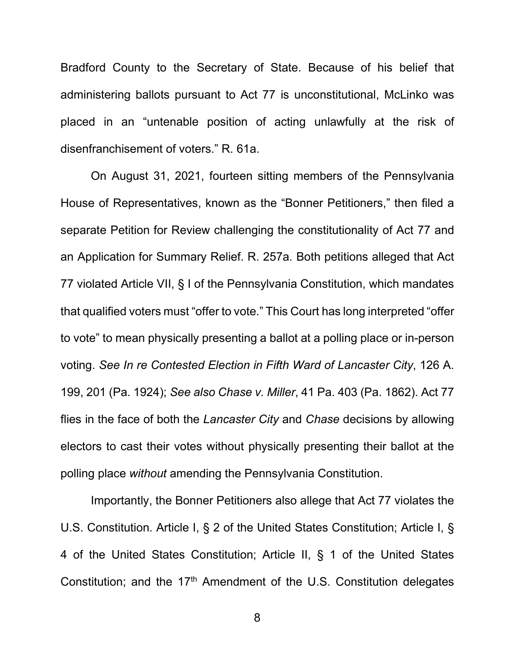Bradford County to the Secretary of State. Because of his belief that administering ballots pursuant to Act 77 is unconstitutional, McLinko was placed in an "untenable position of acting unlawfully at the risk of disenfranchisement of voters." R. 61a.

On August 31, 2021, fourteen sitting members of the Pennsylvania House of Representatives, known as the "Bonner Petitioners," then filed a separate Petition for Review challenging the constitutionality of Act 77 and an Application for Summary Relief. R. 257a. Both petitions alleged that Act 77 violated Article VII, § I of the Pennsylvania Constitution, which mandates that qualified voters must "offer to vote." This Court has long interpreted "offer to vote" to mean physically presenting a ballot at a polling place or in-person voting. *See In re Contested Election in Fifth Ward of Lancaster City*, 126 A. 199, 201 (Pa. 1924); *See also Chase v. Miller*, 41 Pa. 403 (Pa. 1862). Act 77 flies in the face of both the *Lancaster City* and *Chase* decisions by allowing electors to cast their votes without physically presenting their ballot at the polling place *without* amending the Pennsylvania Constitution.

Importantly, the Bonner Petitioners also allege that Act 77 violates the U.S. Constitution. Article I, § 2 of the United States Constitution; Article I, § 4 of the United States Constitution; Article II, § 1 of the United States Constitution; and the 17<sup>th</sup> Amendment of the U.S. Constitution delegates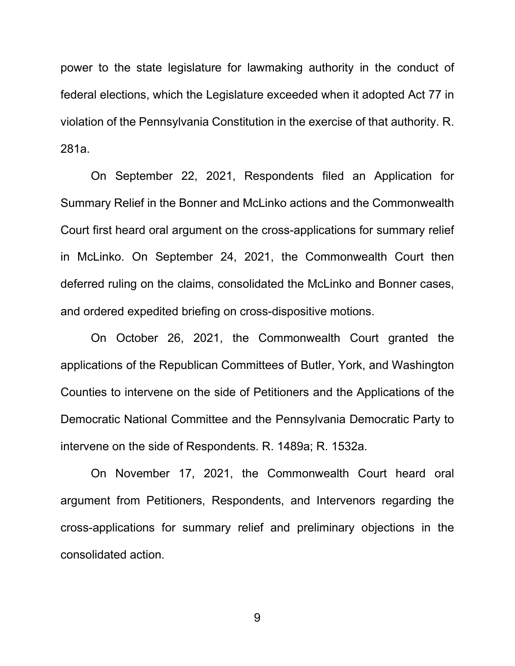power to the state legislature for lawmaking authority in the conduct of federal elections, which the Legislature exceeded when it adopted Act 77 in violation of the Pennsylvania Constitution in the exercise of that authority. R. 281a.

On September 22, 2021, Respondents filed an Application for Summary Relief in the Bonner and McLinko actions and the Commonwealth Court first heard oral argument on the cross-applications for summary relief in McLinko. On September 24, 2021, the Commonwealth Court then deferred ruling on the claims, consolidated the McLinko and Bonner cases, and ordered expedited briefing on cross-dispositive motions.

On October 26, 2021, the Commonwealth Court granted the applications of the Republican Committees of Butler, York, and Washington Counties to intervene on the side of Petitioners and the Applications of the Democratic National Committee and the Pennsylvania Democratic Party to intervene on the side of Respondents. R. 1489a; R. 1532a.

On November 17, 2021, the Commonwealth Court heard oral argument from Petitioners, Respondents, and Intervenors regarding the cross-applications for summary relief and preliminary objections in the consolidated action.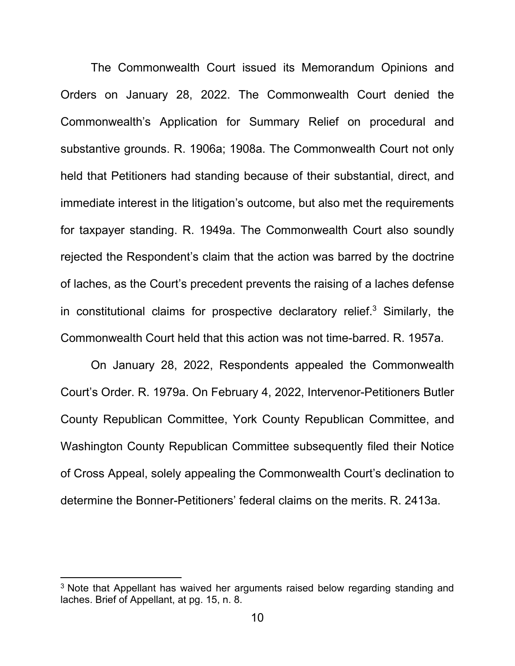The Commonwealth Court issued its Memorandum Opinions and Orders on January 28, 2022. The Commonwealth Court denied the Commonwealth's Application for Summary Relief on procedural and substantive grounds. R. 1906a; 1908a. The Commonwealth Court not only held that Petitioners had standing because of their substantial, direct, and immediate interest in the litigation's outcome, but also met the requirements for taxpayer standing. R. 1949a. The Commonwealth Court also soundly rejected the Respondent's claim that the action was barred by the doctrine of laches, as the Court's precedent prevents the raising of a laches defense in constitutional claims for prospective declaratory relief. $3$  Similarly, the Commonwealth Court held that this action was not time-barred. R. 1957a.

On January 28, 2022, Respondents appealed the Commonwealth Court's Order. R. 1979a. On February 4, 2022, Intervenor-Petitioners Butler County Republican Committee, York County Republican Committee, and Washington County Republican Committee subsequently filed their Notice of Cross Appeal, solely appealing the Commonwealth Court's declination to determine the Bonner-Petitioners' federal claims on the merits. R. 2413a.

<sup>&</sup>lt;sup>3</sup> Note that Appellant has waived her arguments raised below regarding standing and laches. Brief of Appellant, at pg. 15, n. 8.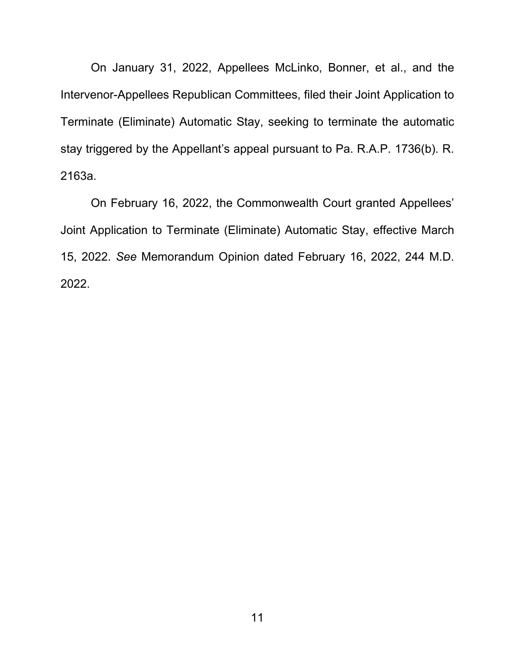On January 31, 2022, Appellees McLinko, Bonner, et al., and the Intervenor-Appellees Republican Committees, filed their Joint Application to Terminate (Eliminate) Automatic Stay, seeking to terminate the automatic stay triggered by the Appellant's appeal pursuant to Pa. R.A.P. 1736(b). R. 2163a.

On February 16, 2022, the Commonwealth Court granted Appellees' Joint Application to Terminate (Eliminate) Automatic Stay, effective March 15, 2022. *See* Memorandum Opinion dated February 16, 2022, 244 M.D. 2022.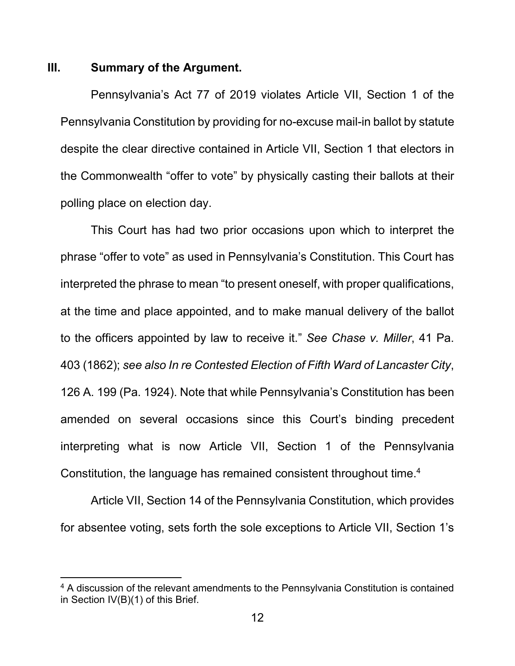#### <span id="page-15-0"></span>**III. Summary of the Argument.**

Pennsylvania's Act 77 of 2019 violates Article VII, Section 1 of the Pennsylvania Constitution by providing for no-excuse mail-in ballot by statute despite the clear directive contained in Article VII, Section 1 that electors in the Commonwealth "offer to vote" by physically casting their ballots at their polling place on election day.

This Court has had two prior occasions upon which to interpret the phrase "offer to vote" as used in Pennsylvania's Constitution. This Court has interpreted the phrase to mean "to present oneself, with proper qualifications, at the time and place appointed, and to make manual delivery of the ballot to the officers appointed by law to receive it." *See Chase v. Miller*, 41 Pa. 403 (1862); *see also In re Contested Election of Fifth Ward of Lancaster City*, 126 A. 199 (Pa. 1924). Note that while Pennsylvania's Constitution has been amended on several occasions since this Court's binding precedent interpreting what is now Article VII, Section 1 of the Pennsylvania Constitution, the language has remained consistent throughout time. $4$ 

Article VII, Section 14 of the Pennsylvania Constitution, which provides for absentee voting, sets forth the sole exceptions to Article VII, Section 1's

<sup>&</sup>lt;sup>4</sup> A discussion of the relevant amendments to the Pennsylvania Constitution is contained in Section IV(B)(1) of this Brief.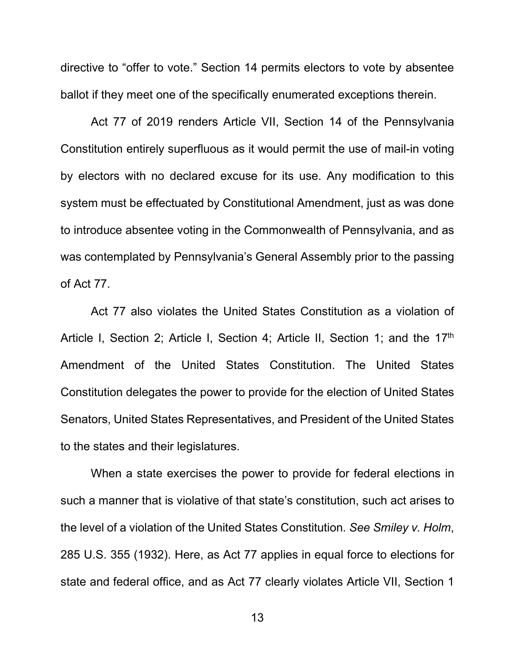directive to "offer to vote." Section 14 permits electors to vote by absentee ballot if they meet one of the specifically enumerated exceptions therein.

Act 77 of 2019 renders Article VII, Section 14 of the Pennsylvania Constitution entirely superfluous as it would permit the use of mail-in voting by electors with no declared excuse for its use. Any modification to this system must be effectuated by Constitutional Amendment, just as was done to introduce absentee voting in the Commonwealth of Pennsylvania, and as was contemplated by Pennsylvania's General Assembly prior to the passing of Act 77.

Act 77 also violates the United States Constitution as a violation of Article I, Section 2; Article I, Section 4; Article II, Section 1; and the 17th Amendment of the United States Constitution. The United States Constitution delegates the power to provide for the election of United States Senators, United States Representatives, and President of the United States to the states and their legislatures.

When a state exercises the power to provide for federal elections in such a manner that is violative of that state's constitution, such act arises to the level of a violation of the United States Constitution. *See Smiley v. Holm*, 285 U.S. 355 (1932). Here, as Act 77 applies in equal force to elections for state and federal office, and as Act 77 clearly violates Article VII, Section 1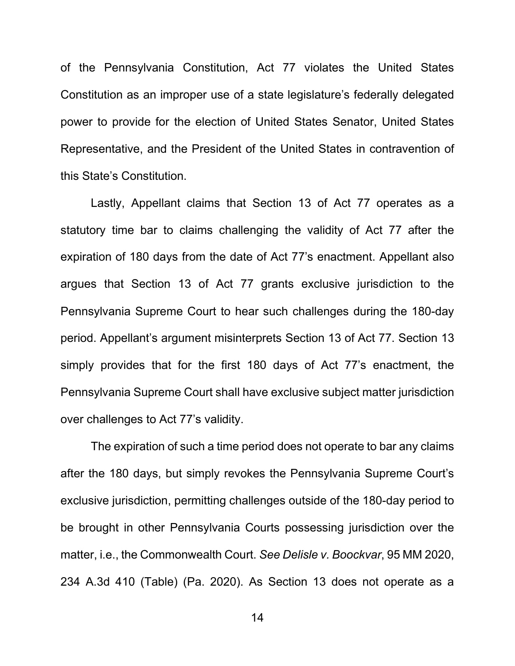of the Pennsylvania Constitution, Act 77 violates the United States Constitution as an improper use of a state legislature's federally delegated power to provide for the election of United States Senator, United States Representative, and the President of the United States in contravention of this State's Constitution.

Lastly, Appellant claims that Section 13 of Act 77 operates as a statutory time bar to claims challenging the validity of Act 77 after the expiration of 180 days from the date of Act 77's enactment. Appellant also argues that Section 13 of Act 77 grants exclusive jurisdiction to the Pennsylvania Supreme Court to hear such challenges during the 180-day period. Appellant's argument misinterprets Section 13 of Act 77. Section 13 simply provides that for the first 180 days of Act 77's enactment, the Pennsylvania Supreme Court shall have exclusive subject matter jurisdiction over challenges to Act 77's validity.

The expiration of such a time period does not operate to bar any claims after the 180 days, but simply revokes the Pennsylvania Supreme Court's exclusive jurisdiction, permitting challenges outside of the 180-day period to be brought in other Pennsylvania Courts possessing jurisdiction over the matter, i.e., the Commonwealth Court. *See Delisle v. Boockvar*, 95 MM 2020, 234 A.3d 410 (Table) (Pa. 2020). As Section 13 does not operate as a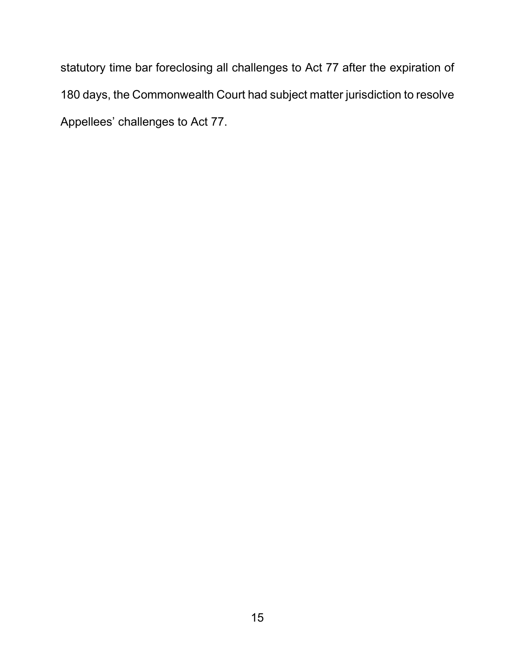statutory time bar foreclosing all challenges to Act 77 after the expiration of 180 days, the Commonwealth Court had subject matter jurisdiction to resolve Appellees' challenges to Act 77.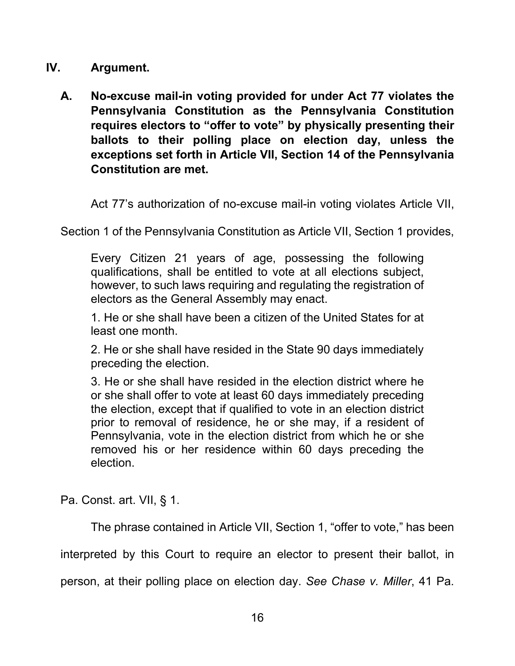### <span id="page-19-0"></span>**IV. Argument.**

<span id="page-19-1"></span>**A. No-excuse mail-in voting provided for under Act 77 violates the Pennsylvania Constitution as the Pennsylvania Constitution requires electors to "offer to vote" by physically presenting their ballots to their polling place on election day, unless the exceptions set forth in Article VII, Section 14 of the Pennsylvania Constitution are met.** 

Act 77's authorization of no-excuse mail-in voting violates Article VII,

Section 1 of the Pennsylvania Constitution as Article VII, Section 1 provides,

Every Citizen 21 years of age, possessing the following qualifications, shall be entitled to vote at all elections subject, however, to such laws requiring and regulating the registration of electors as the General Assembly may enact.

1. He or she shall have been a citizen of the United States for at least one month.

2. He or she shall have resided in the State 90 days immediately preceding the election.

3. He or she shall have resided in the election district where he or she shall offer to vote at least 60 days immediately preceding the election, except that if qualified to vote in an election district prior to removal of residence, he or she may, if a resident of Pennsylvania, vote in the election district from which he or she removed his or her residence within 60 days preceding the election.

Pa. Const. art. VII, § 1.

The phrase contained in Article VII, Section 1, "offer to vote," has been

interpreted by this Court to require an elector to present their ballot, in

person, at their polling place on election day. *See Chase v. Miller*, 41 Pa.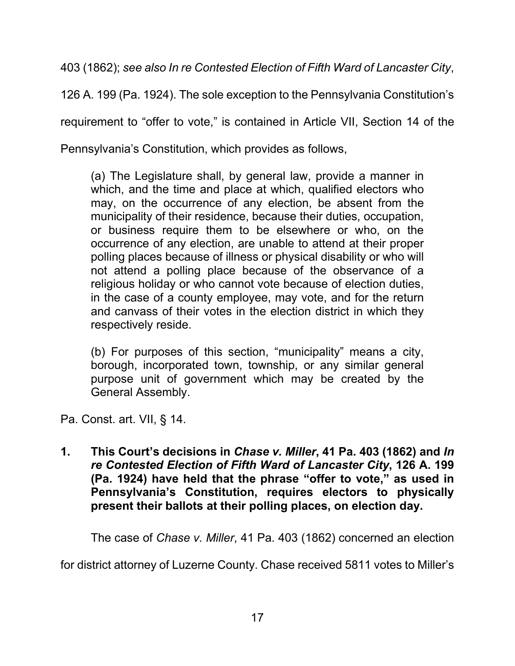403 (1862); *see also In re Contested Election of Fifth Ward of Lancaster City*,

126 A. 199 (Pa. 1924). The sole exception to the Pennsylvania Constitution's

requirement to "offer to vote," is contained in Article VII, Section 14 of the

Pennsylvania's Constitution, which provides as follows,

(a) The Legislature shall, by general law, provide a manner in which, and the time and place at which, qualified electors who may, on the occurrence of any election, be absent from the municipality of their residence, because their duties, occupation, or business require them to be elsewhere or who, on the occurrence of any election, are unable to attend at their proper polling places because of illness or physical disability or who will not attend a polling place because of the observance of a religious holiday or who cannot vote because of election duties, in the case of a county employee, may vote, and for the return and canvass of their votes in the election district in which they respectively reside.

(b) For purposes of this section, "municipality" means a city, borough, incorporated town, township, or any similar general purpose unit of government which may be created by the General Assembly.

Pa. Const. art. VII, § 14.

<span id="page-20-0"></span>**1. This Court's decisions in** *Chase v. Miller***, 41 Pa. 403 (1862) and** *In re Contested Election of Fifth Ward of Lancaster City***, 126 A. 199 (Pa. 1924) have held that the phrase "offer to vote," as used in Pennsylvania's Constitution, requires electors to physically present their ballots at their polling places, on election day.** 

The case of *Chase v. Miller*, 41 Pa. 403 (1862) concerned an election

for district attorney of Luzerne County. Chase received 5811 votes to Miller's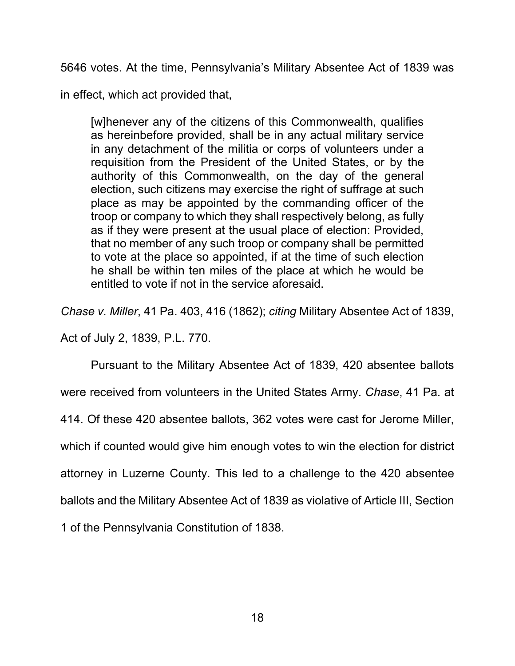5646 votes. At the time, Pennsylvania's Military Absentee Act of 1839 was

in effect, which act provided that,

[w]henever any of the citizens of this Commonwealth, qualifies as hereinbefore provided, shall be in any actual military service in any detachment of the militia or corps of volunteers under a requisition from the President of the United States, or by the authority of this Commonwealth, on the day of the general election, such citizens may exercise the right of suffrage at such place as may be appointed by the commanding officer of the troop or company to which they shall respectively belong, as fully as if they were present at the usual place of election: Provided, that no member of any such troop or company shall be permitted to vote at the place so appointed, if at the time of such election he shall be within ten miles of the place at which he would be entitled to vote if not in the service aforesaid.

*Chase v. Miller*, 41 Pa. 403, 416 (1862); *citing* Military Absentee Act of 1839,

Act of July 2, 1839, P.L. 770.

Pursuant to the Military Absentee Act of 1839, 420 absentee ballots were received from volunteers in the United States Army. *Chase*, 41 Pa. at 414. Of these 420 absentee ballots, 362 votes were cast for Jerome Miller, which if counted would give him enough votes to win the election for district attorney in Luzerne County. This led to a challenge to the 420 absentee ballots and the Military Absentee Act of 1839 as violative of Article III, Section 1 of the Pennsylvania Constitution of 1838.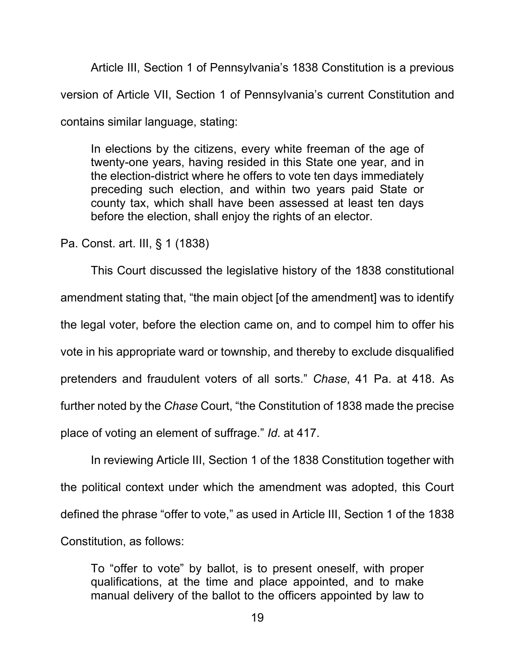Article III, Section 1 of Pennsylvania's 1838 Constitution is a previous version of Article VII, Section 1 of Pennsylvania's current Constitution and contains similar language, stating:

In elections by the citizens, every white freeman of the age of twenty-one years, having resided in this State one year, and in the election-district where he offers to vote ten days immediately preceding such election, and within two years paid State or county tax, which shall have been assessed at least ten days before the election, shall enjoy the rights of an elector.

Pa. Const. art. III, § 1 (1838)

This Court discussed the legislative history of the 1838 constitutional amendment stating that, "the main object [of the amendment] was to identify the legal voter, before the election came on, and to compel him to offer his vote in his appropriate ward or township, and thereby to exclude disqualified pretenders and fraudulent voters of all sorts." *Chase*, 41 Pa. at 418. As further noted by the *Chase* Court, "the Constitution of 1838 made the precise place of voting an element of suffrage." *Id*. at 417.

In reviewing Article III, Section 1 of the 1838 Constitution together with the political context under which the amendment was adopted, this Court defined the phrase "offer to vote," as used in Article III, Section 1 of the 1838 Constitution, as follows:

To "offer to vote" by ballot, is to present oneself, with proper qualifications, at the time and place appointed, and to make manual delivery of the ballot to the officers appointed by law to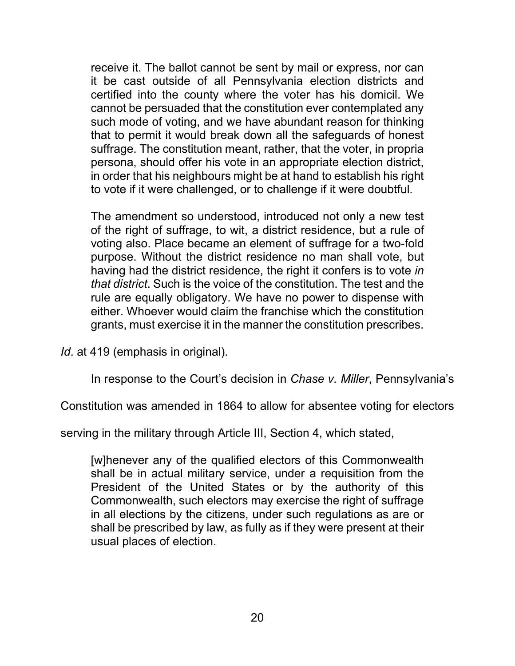receive it. The ballot cannot be sent by mail or express, nor can it be cast outside of all Pennsylvania election districts and certified into the county where the voter has his domicil. We cannot be persuaded that the constitution ever contemplated any such mode of voting, and we have abundant reason for thinking that to permit it would break down all the safeguards of honest suffrage. The constitution meant, rather, that the voter, in propria persona, should offer his vote in an appropriate election district, in order that his neighbours might be at hand to establish his right to vote if it were challenged, or to challenge if it were doubtful.

The amendment so understood, introduced not only a new test of the right of suffrage, to wit, a district residence, but a rule of voting also. Place became an element of suffrage for a two-fold purpose. Without the district residence no man shall vote, but having had the district residence, the right it confers is to vote *in that district*. Such is the voice of the constitution. The test and the rule are equally obligatory. We have no power to dispense with either. Whoever would claim the franchise which the constitution grants, must exercise it in the manner the constitution prescribes.

*Id*. at 419 (emphasis in original).

In response to the Court's decision in *Chase v. Miller*, Pennsylvania's

Constitution was amended in 1864 to allow for absentee voting for electors

serving in the military through Article III, Section 4, which stated,

[w]henever any of the qualified electors of this Commonwealth shall be in actual military service, under a requisition from the President of the United States or by the authority of this Commonwealth, such electors may exercise the right of suffrage in all elections by the citizens, under such regulations as are or shall be prescribed by law, as fully as if they were present at their usual places of election.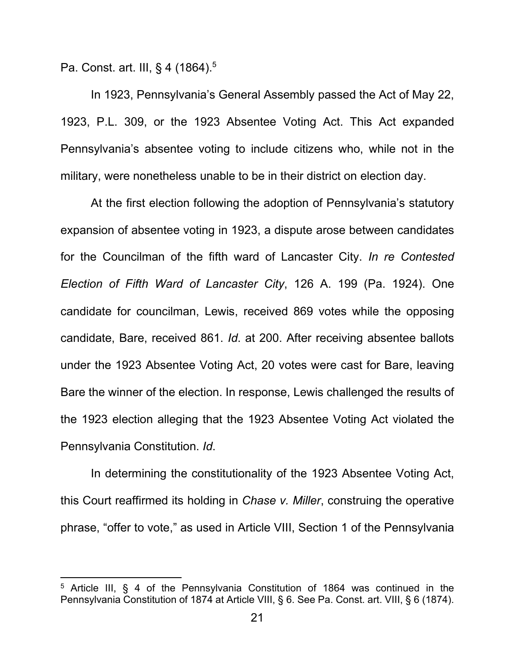Pa. Const. art. III, § 4 (1864).<sup>5</sup>

In 1923, Pennsylvania's General Assembly passed the Act of May 22, 1923, P.L. 309, or the 1923 Absentee Voting Act. This Act expanded Pennsylvania's absentee voting to include citizens who, while not in the military, were nonetheless unable to be in their district on election day.

At the first election following the adoption of Pennsylvania's statutory expansion of absentee voting in 1923, a dispute arose between candidates for the Councilman of the fifth ward of Lancaster City. *In re Contested Election of Fifth Ward of Lancaster City*, 126 A. 199 (Pa. 1924). One candidate for councilman, Lewis, received 869 votes while the opposing candidate, Bare, received 861. *Id*. at 200. After receiving absentee ballots under the 1923 Absentee Voting Act, 20 votes were cast for Bare, leaving Bare the winner of the election. In response, Lewis challenged the results of the 1923 election alleging that the 1923 Absentee Voting Act violated the Pennsylvania Constitution. *Id*.

In determining the constitutionality of the 1923 Absentee Voting Act, this Court reaffirmed its holding in *Chase v. Miller*, construing the operative phrase, "offer to vote," as used in Article VIII, Section 1 of the Pennsylvania

<sup>&</sup>lt;sup>5</sup> Article III, § 4 of the Pennsylvania Constitution of 1864 was continued in the Pennsylvania Constitution of 1874 at Article VIII, § 6. See Pa. Const. art. VIII, § 6 (1874).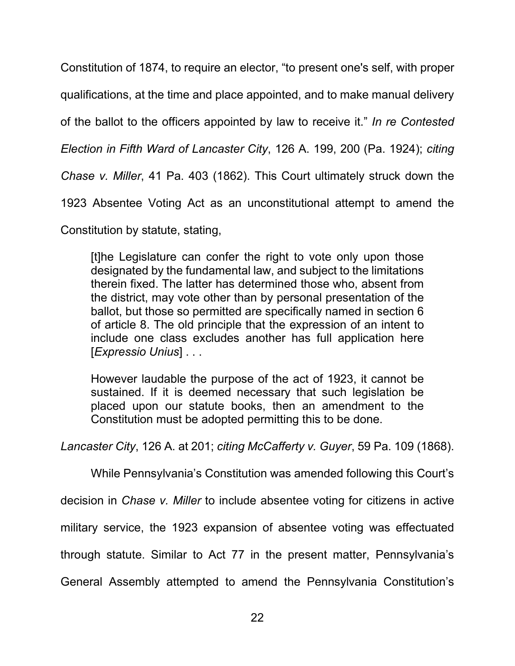Constitution of 1874, to require an elector, "to present one's self, with proper qualifications, at the time and place appointed, and to make manual delivery of the ballot to the officers appointed by law to receive it." *In re Contested Election in Fifth Ward of Lancaster City*, 126 A. 199, 200 (Pa. 1924); *citing Chase v. Miller*, 41 Pa. 403 (1862). This Court ultimately struck down the 1923 Absentee Voting Act as an unconstitutional attempt to amend the

Constitution by statute, stating,

[t]he Legislature can confer the right to vote only upon those designated by the fundamental law, and subject to the limitations therein fixed. The latter has determined those who, absent from the district, may vote other than by personal presentation of the ballot, but those so permitted are specifically named in section 6 of article 8. The old principle that the expression of an intent to include one class excludes another has full application here [*Expressio Unius*] . . .

However laudable the purpose of the act of 1923, it cannot be sustained. If it is deemed necessary that such legislation be placed upon our statute books, then an amendment to the Constitution must be adopted permitting this to be done.

*Lancaster City*, 126 A. at 201; *citing McCafferty v. Guyer*, 59 Pa. 109 (1868).

While Pennsylvania's Constitution was amended following this Court's

decision in *Chase v. Miller* to include absentee voting for citizens in active

military service, the 1923 expansion of absentee voting was effectuated

through statute. Similar to Act 77 in the present matter, Pennsylvania's

General Assembly attempted to amend the Pennsylvania Constitution's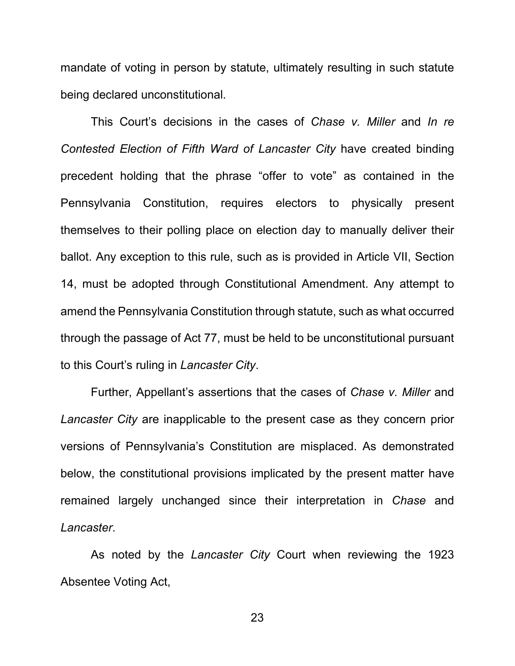mandate of voting in person by statute, ultimately resulting in such statute being declared unconstitutional.

This Court's decisions in the cases of *Chase v. Miller* and *In re Contested Election of Fifth Ward of Lancaster City* have created binding precedent holding that the phrase "offer to vote" as contained in the Pennsylvania Constitution, requires electors to physically present themselves to their polling place on election day to manually deliver their ballot. Any exception to this rule, such as is provided in Article VII, Section 14, must be adopted through Constitutional Amendment. Any attempt to amend the Pennsylvania Constitution through statute, such as what occurred through the passage of Act 77, must be held to be unconstitutional pursuant to this Court's ruling in *Lancaster City*.

Further, Appellant's assertions that the cases of *Chase v. Miller* and *Lancaster City* are inapplicable to the present case as they concern prior versions of Pennsylvania's Constitution are misplaced. As demonstrated below, the constitutional provisions implicated by the present matter have remained largely unchanged since their interpretation in *Chase* and *Lancaster*.

As noted by the *Lancaster City* Court when reviewing the 1923 Absentee Voting Act,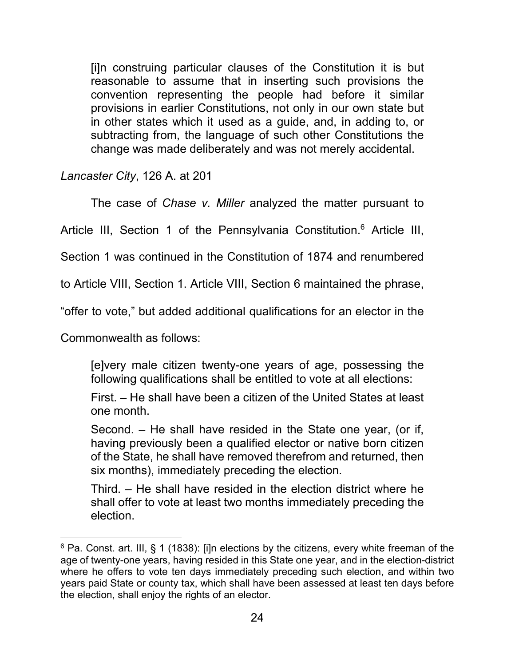[i]n construing particular clauses of the Constitution it is but reasonable to assume that in inserting such provisions the convention representing the people had before it similar provisions in earlier Constitutions, not only in our own state but in other states which it used as a guide, and, in adding to, or subtracting from, the language of such other Constitutions the change was made deliberately and was not merely accidental.

*Lancaster City*, 126 A. at 201

The case of *Chase v. Miller* analyzed the matter pursuant to

Article III, Section 1 of the Pennsylvania Constitution.<sup>6</sup> Article III,

Section 1 was continued in the Constitution of 1874 and renumbered

to Article VIII, Section 1. Article VIII, Section 6 maintained the phrase,

"offer to vote," but added additional qualifications for an elector in the

Commonwealth as follows:

[e]very male citizen twenty-one years of age, possessing the following qualifications shall be entitled to vote at all elections:

First. – He shall have been a citizen of the United States at least one month.

Second. – He shall have resided in the State one year, (or if, having previously been a qualified elector or native born citizen of the State, he shall have removed therefrom and returned, then six months), immediately preceding the election.

Third. – He shall have resided in the election district where he shall offer to vote at least two months immediately preceding the election.

 $6$  Pa. Const. art. III, § 1 (1838): [i]n elections by the citizens, every white freeman of the age of twenty-one years, having resided in this State one year, and in the election-district where he offers to vote ten days immediately preceding such election, and within two years paid State or county tax, which shall have been assessed at least ten days before the election, shall enjoy the rights of an elector.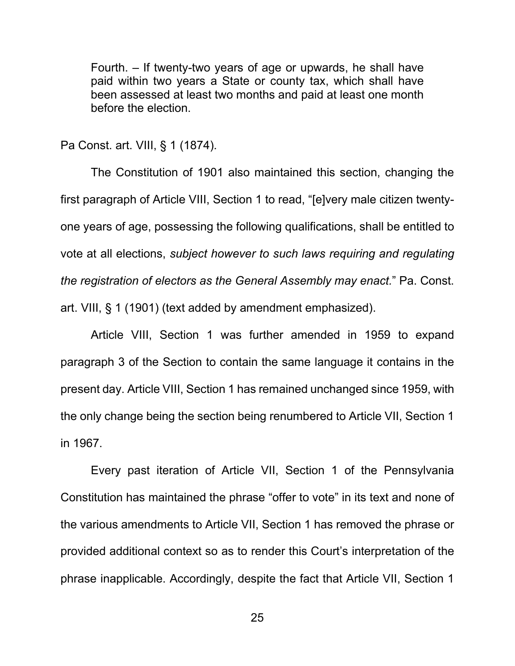Fourth. – If twenty-two years of age or upwards, he shall have paid within two years a State or county tax, which shall have been assessed at least two months and paid at least one month before the election.

Pa Const. art. VIII, § 1 (1874).

The Constitution of 1901 also maintained this section, changing the first paragraph of Article VIII, Section 1 to read, "[e]very male citizen twentyone years of age, possessing the following qualifications, shall be entitled to vote at all elections, *subject however to such laws requiring and regulating the registration of electors as the General Assembly may enact.*" Pa. Const. art. VIII, § 1 (1901) (text added by amendment emphasized).

Article VIII, Section 1 was further amended in 1959 to expand paragraph 3 of the Section to contain the same language it contains in the present day. Article VIII, Section 1 has remained unchanged since 1959, with the only change being the section being renumbered to Article VII, Section 1 in 1967.

Every past iteration of Article VII, Section 1 of the Pennsylvania Constitution has maintained the phrase "offer to vote" in its text and none of the various amendments to Article VII, Section 1 has removed the phrase or provided additional context so as to render this Court's interpretation of the phrase inapplicable. Accordingly, despite the fact that Article VII, Section 1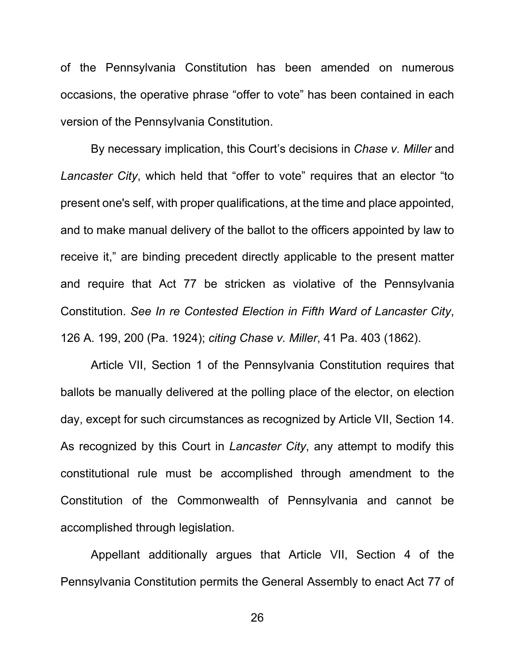of the Pennsylvania Constitution has been amended on numerous occasions, the operative phrase "offer to vote" has been contained in each version of the Pennsylvania Constitution.

By necessary implication, this Court's decisions in *Chase v. Miller* and *Lancaster City*, which held that "offer to vote" requires that an elector "to present one's self, with proper qualifications, at the time and place appointed, and to make manual delivery of the ballot to the officers appointed by law to receive it," are binding precedent directly applicable to the present matter and require that Act 77 be stricken as violative of the Pennsylvania Constitution. *See In re Contested Election in Fifth Ward of Lancaster City*, 126 A. 199, 200 (Pa. 1924); *citing Chase v. Miller*, 41 Pa. 403 (1862).

Article VII, Section 1 of the Pennsylvania Constitution requires that ballots be manually delivered at the polling place of the elector, on election day, except for such circumstances as recognized by Article VII, Section 14. As recognized by this Court in *Lancaster City*, any attempt to modify this constitutional rule must be accomplished through amendment to the Constitution of the Commonwealth of Pennsylvania and cannot be accomplished through legislation.

Appellant additionally argues that Article VII, Section 4 of the Pennsylvania Constitution permits the General Assembly to enact Act 77 of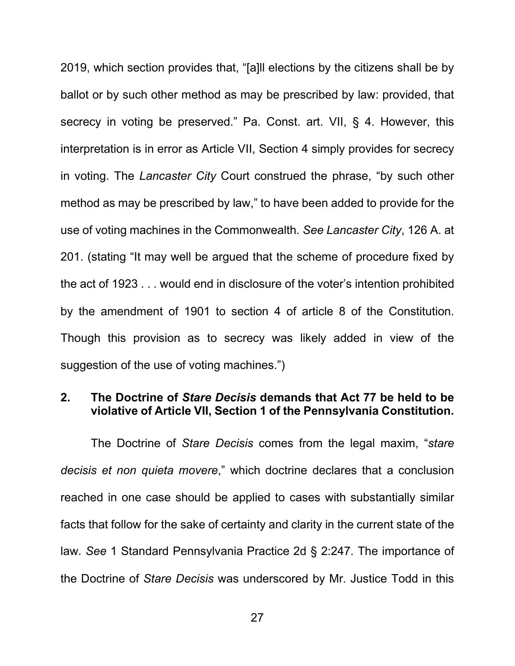2019, which section provides that, "[a]ll elections by the citizens shall be by ballot or by such other method as may be prescribed by law: provided, that secrecy in voting be preserved." Pa. Const. art. VII, § 4. However, this interpretation is in error as Article VII, Section 4 simply provides for secrecy in voting. The *Lancaster City* Court construed the phrase, "by such other method as may be prescribed by law," to have been added to provide for the use of voting machines in the Commonwealth. *See Lancaster City*, 126 A. at 201. (stating "It may well be argued that the scheme of procedure fixed by the act of 1923 . . . would end in disclosure of the voter's intention prohibited by the amendment of 1901 to section 4 of article 8 of the Constitution. Though this provision as to secrecy was likely added in view of the suggestion of the use of voting machines.")

### <span id="page-30-0"></span>**2. The Doctrine of** *Stare Decisis* **demands that Act 77 be held to be violative of Article VII, Section 1 of the Pennsylvania Constitution.**

The Doctrine of *Stare Decisis* comes from the legal maxim, "*stare decisis et non quieta movere*," which doctrine declares that a conclusion reached in one case should be applied to cases with substantially similar facts that follow for the sake of certainty and clarity in the current state of the law. *See* 1 Standard Pennsylvania Practice 2d § 2:247. The importance of the Doctrine of *Stare Decisis* was underscored by Mr. Justice Todd in this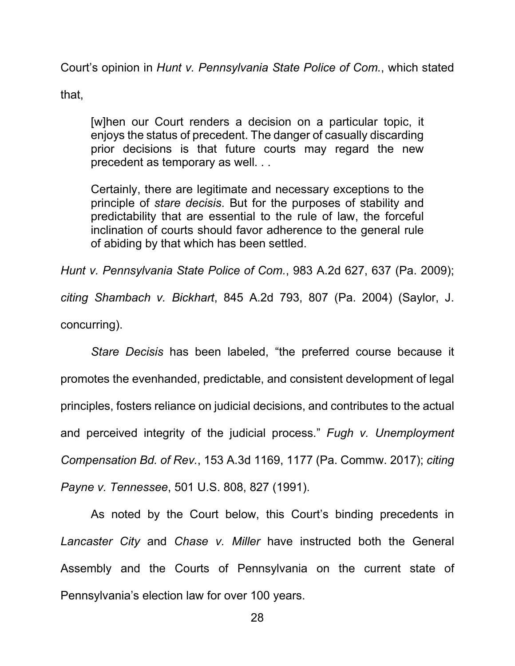Court's opinion in *Hunt v. Pennsylvania State Police of Com.*, which stated

that,

[w]hen our Court renders a decision on a particular topic, it enjoys the status of precedent. The danger of casually discarding prior decisions is that future courts may regard the new precedent as temporary as well. . .

Certainly, there are legitimate and necessary exceptions to the principle of *stare decisis*. But for the purposes of stability and predictability that are essential to the rule of law, the forceful inclination of courts should favor adherence to the general rule of abiding by that which has been settled.

*Hunt v. Pennsylvania State Police of Com.*, 983 A.2d 627, 637 (Pa. 2009); *citing Shambach v. Bickhart*, 845 A.2d 793, 807 (Pa. 2004) (Saylor, J. concurring).

*Stare Decisis* has been labeled, "the preferred course because it promotes the evenhanded, predictable, and consistent development of legal principles, fosters reliance on judicial decisions, and contributes to the actual and perceived integrity of the judicial process." *Fugh v. Unemployment Compensation Bd. of Rev.*, 153 A.3d 1169, 1177 (Pa. Commw. 2017); *citing Payne v. Tennessee*, 501 U.S. 808, 827 (1991).

As noted by the Court below, this Court's binding precedents in *Lancaster City* and *Chase v. Miller* have instructed both the General Assembly and the Courts of Pennsylvania on the current state of Pennsylvania's election law for over 100 years.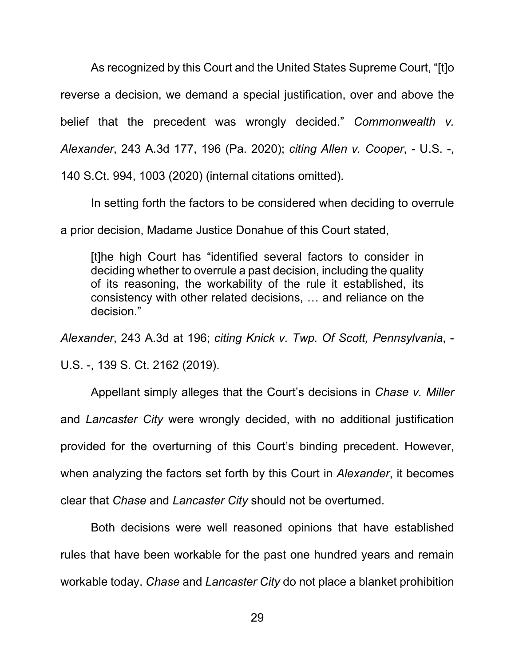As recognized by this Court and the United States Supreme Court, "[t]o reverse a decision, we demand a special justification, over and above the belief that the precedent was wrongly decided." *Commonwealth v. Alexander*, 243 A.3d 177, 196 (Pa. 2020); *citing Allen v. Cooper*, - U.S. -, 140 S.Ct. 994, 1003 (2020) (internal citations omitted).

In setting forth the factors to be considered when deciding to overrule

a prior decision, Madame Justice Donahue of this Court stated,

[t]he high Court has "identified several factors to consider in deciding whether to overrule a past decision, including the quality of its reasoning, the workability of the rule it established, its consistency with other related decisions, … and reliance on the decision."

*Alexander*, 243 A.3d at 196; *citing Knick v. Twp. Of Scott, Pennsylvania*, -

U.S. -, 139 S. Ct. 2162 (2019).

Appellant simply alleges that the Court's decisions in *Chase v. Miller* and *Lancaster City* were wrongly decided, with no additional justification provided for the overturning of this Court's binding precedent. However, when analyzing the factors set forth by this Court in *Alexander*, it becomes clear that *Chase* and *Lancaster City* should not be overturned.

Both decisions were well reasoned opinions that have established rules that have been workable for the past one hundred years and remain workable today. *Chase* and *Lancaster City* do not place a blanket prohibition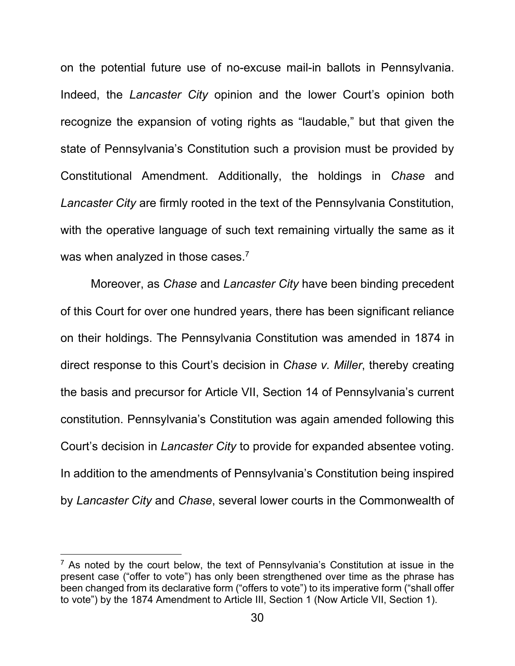on the potential future use of no-excuse mail-in ballots in Pennsylvania. Indeed, the *Lancaster City* opinion and the lower Court's opinion both recognize the expansion of voting rights as "laudable," but that given the state of Pennsylvania's Constitution such a provision must be provided by Constitutional Amendment. Additionally, the holdings in *Chase* and *Lancaster City* are firmly rooted in the text of the Pennsylvania Constitution, with the operative language of such text remaining virtually the same as it was when analyzed in those cases.<sup>7</sup>

Moreover, as *Chase* and *Lancaster City* have been binding precedent of this Court for over one hundred years, there has been significant reliance on their holdings. The Pennsylvania Constitution was amended in 1874 in direct response to this Court's decision in *Chase v. Miller*, thereby creating the basis and precursor for Article VII, Section 14 of Pennsylvania's current constitution. Pennsylvania's Constitution was again amended following this Court's decision in *Lancaster City* to provide for expanded absentee voting. In addition to the amendments of Pennsylvania's Constitution being inspired by *Lancaster City* and *Chase*, several lower courts in the Commonwealth of

 $7$  As noted by the court below, the text of Pennsylvania's Constitution at issue in the present case ("offer to vote") has only been strengthened over time as the phrase has been changed from its declarative form ("offers to vote") to its imperative form ("shall offer to vote") by the 1874 Amendment to Article III, Section 1 (Now Article VII, Section 1).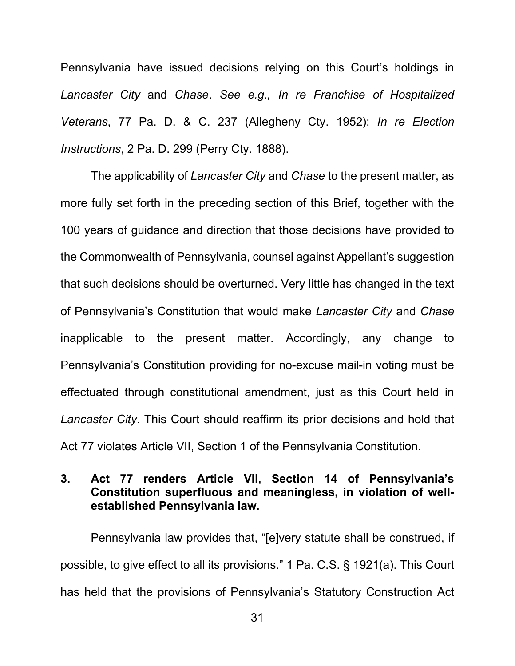Pennsylvania have issued decisions relying on this Court's holdings in *Lancaster City* and *Chase*. *See e.g., In re Franchise of Hospitalized Veterans*, 77 Pa. D. & C. 237 (Allegheny Cty. 1952); *In re Election Instructions*, 2 Pa. D. 299 (Perry Cty. 1888).

The applicability of *Lancaster City* and *Chase* to the present matter, as more fully set forth in the preceding section of this Brief, together with the 100 years of guidance and direction that those decisions have provided to the Commonwealth of Pennsylvania, counsel against Appellant's suggestion that such decisions should be overturned. Very little has changed in the text of Pennsylvania's Constitution that would make *Lancaster City* and *Chase* inapplicable to the present matter. Accordingly, any change to Pennsylvania's Constitution providing for no-excuse mail-in voting must be effectuated through constitutional amendment, just as this Court held in *Lancaster City*. This Court should reaffirm its prior decisions and hold that Act 77 violates Article VII, Section 1 of the Pennsylvania Constitution.

### <span id="page-34-0"></span>**3. Act 77 renders Article VII, Section 14 of Pennsylvania's Constitution superfluous and meaningless, in violation of wellestablished Pennsylvania law.**

Pennsylvania law provides that, "[e]very statute shall be construed, if possible, to give effect to all its provisions." 1 Pa. C.S. § 1921(a). This Court has held that the provisions of Pennsylvania's Statutory Construction Act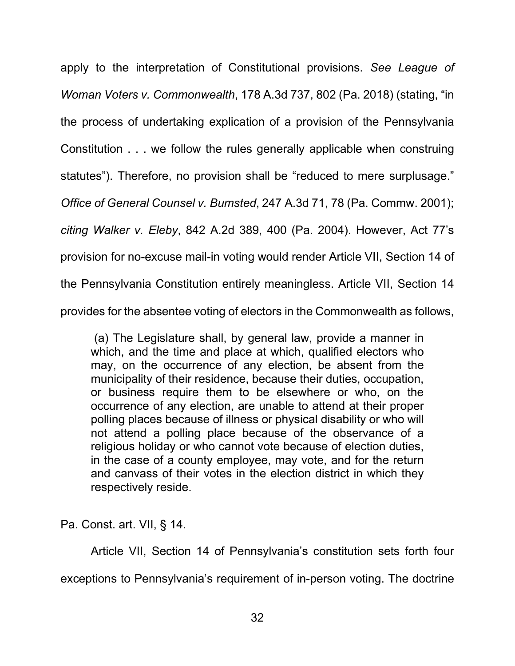apply to the interpretation of Constitutional provisions. *See League of Woman Voters v. Commonwealth*, 178 A.3d 737, 802 (Pa. 2018) (stating, "in the process of undertaking explication of a provision of the Pennsylvania Constitution . . . we follow the rules generally applicable when construing statutes"). Therefore, no provision shall be "reduced to mere surplusage." *Office of General Counsel v. Bumsted*, 247 A.3d 71, 78 (Pa. Commw. 2001); *citing Walker v. Eleby*, 842 A.2d 389, 400 (Pa. 2004). However, Act 77's provision for no-excuse mail-in voting would render Article VII, Section 14 of the Pennsylvania Constitution entirely meaningless. Article VII, Section 14 provides for the absentee voting of electors in the Commonwealth as follows,

 (a) The Legislature shall, by general law, provide a manner in which, and the time and place at which, qualified electors who may, on the occurrence of any election, be absent from the municipality of their residence, because their duties, occupation, or business require them to be elsewhere or who, on the occurrence of any election, are unable to attend at their proper polling places because of illness or physical disability or who will not attend a polling place because of the observance of a religious holiday or who cannot vote because of election duties, in the case of a county employee, may vote, and for the return and canvass of their votes in the election district in which they respectively reside.

Pa. Const. art. VII, § 14.

Article VII, Section 14 of Pennsylvania's constitution sets forth four exceptions to Pennsylvania's requirement of in-person voting. The doctrine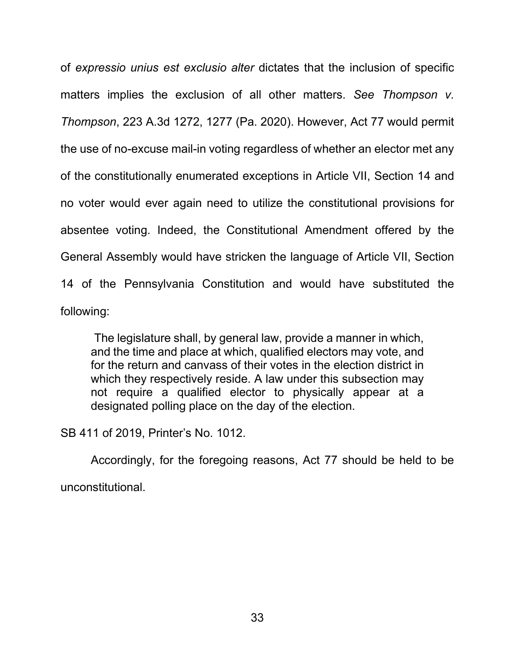of *expressio unius est exclusio alter* dictates that the inclusion of specific matters implies the exclusion of all other matters. *See Thompson v. Thompson*, 223 A.3d 1272, 1277 (Pa. 2020). However, Act 77 would permit the use of no-excuse mail-in voting regardless of whether an elector met any of the constitutionally enumerated exceptions in Article VII, Section 14 and no voter would ever again need to utilize the constitutional provisions for absentee voting. Indeed, the Constitutional Amendment offered by the General Assembly would have stricken the language of Article VII, Section 14 of the Pennsylvania Constitution and would have substituted the following:

 The legislature shall, by general law, provide a manner in which, and the time and place at which, qualified electors may vote, and for the return and canvass of their votes in the election district in which they respectively reside. A law under this subsection may not require a qualified elector to physically appear at a designated polling place on the day of the election.

SB 411 of 2019, Printer's No. 1012.

Accordingly, for the foregoing reasons, Act 77 should be held to be unconstitutional.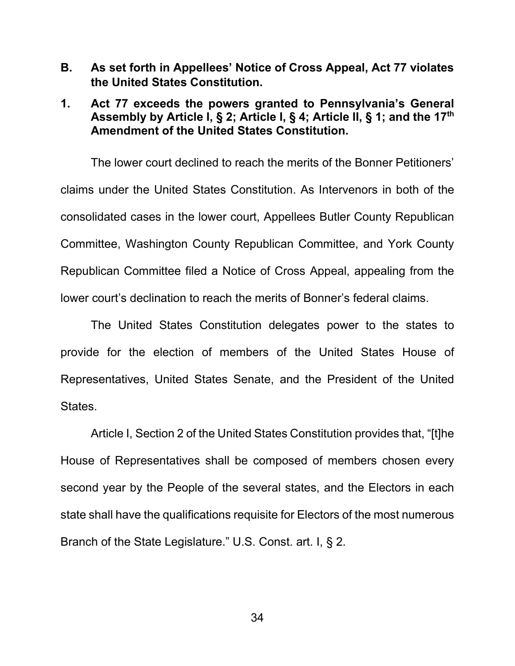<span id="page-37-0"></span>**B. As set forth in Appellees' Notice of Cross Appeal, Act 77 violates the United States Constitution.** 

### <span id="page-37-1"></span>**1. Act 77 exceeds the powers granted to Pennsylvania's General Assembly by Article I, § 2; Article I, § 4; Article II, § 1; and the 17th Amendment of the United States Constitution.**

The lower court declined to reach the merits of the Bonner Petitioners' claims under the United States Constitution. As Intervenors in both of the consolidated cases in the lower court, Appellees Butler County Republican Committee, Washington County Republican Committee, and York County Republican Committee filed a Notice of Cross Appeal, appealing from the lower court's declination to reach the merits of Bonner's federal claims.

The United States Constitution delegates power to the states to provide for the election of members of the United States House of Representatives, United States Senate, and the President of the United States.

Article I, Section 2 of the United States Constitution provides that, "[t]he House of Representatives shall be composed of members chosen every second year by the People of the several states, and the Electors in each state shall have the qualifications requisite for Electors of the most numerous Branch of the State Legislature." U.S. Const. art. I, § 2.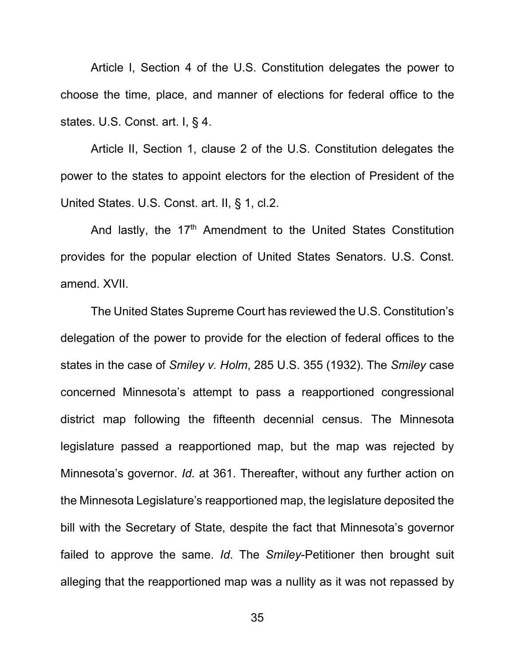Article I, Section 4 of the U.S. Constitution delegates the power to choose the time, place, and manner of elections for federal office to the states. U.S. Const. art. I, § 4.

Article II, Section 1, clause 2 of the U.S. Constitution delegates the power to the states to appoint electors for the election of President of the United States. U.S. Const. art. II, § 1, cl.2.

And lastly, the  $17<sup>th</sup>$  Amendment to the United States Constitution provides for the popular election of United States Senators. U.S. Const. amend. XVII.

The United States Supreme Court has reviewed the U.S. Constitution's delegation of the power to provide for the election of federal offices to the states in the case of *Smiley v. Holm*, 285 U.S. 355 (1932). The *Smiley* case concerned Minnesota's attempt to pass a reapportioned congressional district map following the fifteenth decennial census. The Minnesota legislature passed a reapportioned map, but the map was rejected by Minnesota's governor. *Id*. at 361. Thereafter, without any further action on the Minnesota Legislature's reapportioned map, the legislature deposited the bill with the Secretary of State, despite the fact that Minnesota's governor failed to approve the same. *Id*. The *Smiley*-Petitioner then brought suit alleging that the reapportioned map was a nullity as it was not repassed by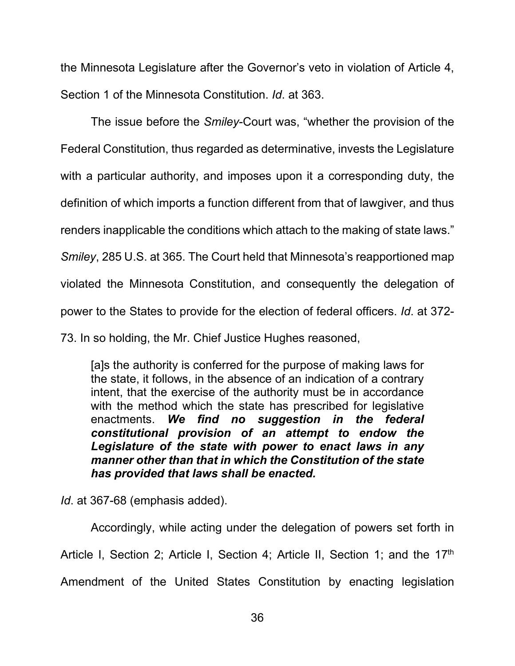the Minnesota Legislature after the Governor's veto in violation of Article 4, Section 1 of the Minnesota Constitution. *Id*. at 363.

The issue before the *Smiley*-Court was, "whether the provision of the Federal Constitution, thus regarded as determinative, invests the Legislature with a particular authority, and imposes upon it a corresponding duty, the definition of which imports a function different from that of lawgiver, and thus renders inapplicable the conditions which attach to the making of state laws." *Smiley*, 285 U.S. at 365. The Court held that Minnesota's reapportioned map violated the Minnesota Constitution, and consequently the delegation of power to the States to provide for the election of federal officers. *Id*. at 372-

73. In so holding, the Mr. Chief Justice Hughes reasoned,

[a]s the authority is conferred for the purpose of making laws for the state, it follows, in the absence of an indication of a contrary intent, that the exercise of the authority must be in accordance with the method which the state has prescribed for legislative enactments. *We find no suggestion in the federal constitutional provision of an attempt to endow the Legislature of the state with power to enact laws in any manner other than that in which the Constitution of the state has provided that laws shall be enacted.* 

*Id*. at 367-68 (emphasis added).

Accordingly, while acting under the delegation of powers set forth in Article I, Section 2; Article I, Section 4; Article II, Section 1; and the 17<sup>th</sup> Amendment of the United States Constitution by enacting legislation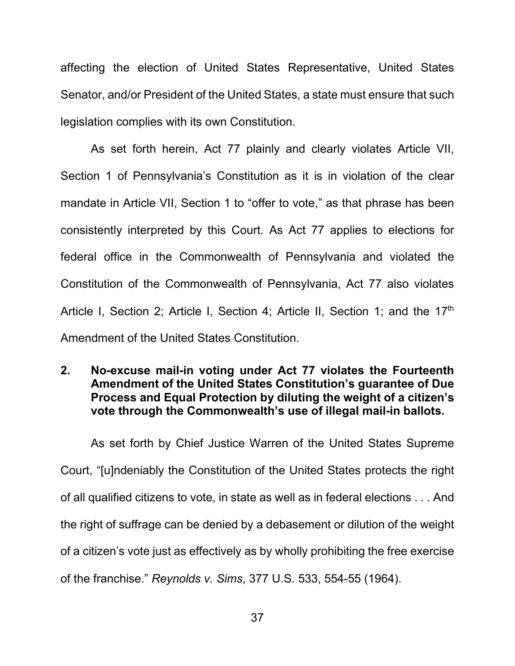affecting the election of United States Representative, United States Senator, and/or President of the United States, a state must ensure that such legislation complies with its own Constitution.

As set forth herein, Act 77 plainly and clearly violates Article VII, Section 1 of Pennsylvania's Constitution as it is in violation of the clear mandate in Article VII, Section 1 to "offer to vote," as that phrase has been consistently interpreted by this Court. As Act 77 applies to elections for federal office in the Commonwealth of Pennsylvania and violated the Constitution of the Commonwealth of Pennsylvania, Act 77 also violates Article I, Section 2; Article I, Section 4; Article II, Section 1; and the 17<sup>th</sup> Amendment of the United States Constitution.

### <span id="page-40-0"></span>**2. No-excuse mail-in voting under Act 77 violates the Fourteenth Amendment of the United States Constitution's guarantee of Due Process and Equal Protection by diluting the weight of a citizen's vote through the Commonwealth's use of illegal mail-in ballots.**

As set forth by Chief Justice Warren of the United States Supreme Court, "[u]ndeniably the Constitution of the United States protects the right of all qualified citizens to vote, in state as well as in federal elections . . . And the right of suffrage can be denied by a debasement or dilution of the weight of a citizen's vote just as effectively as by wholly prohibiting the free exercise of the franchise." *Reynolds v. Sims*, 377 U.S. 533, 554-55 (1964).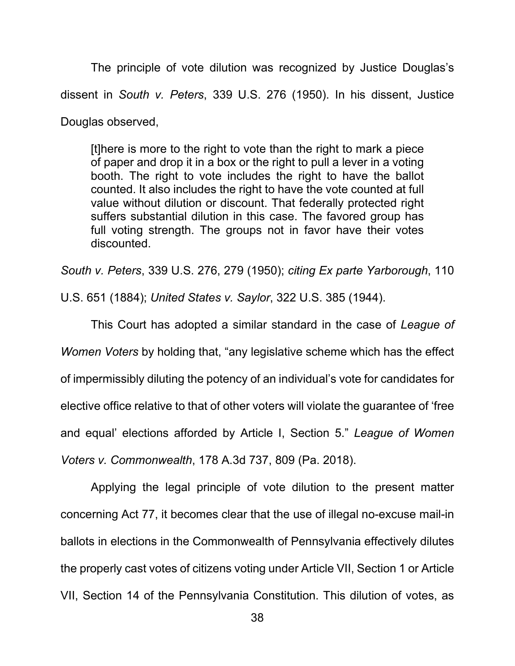The principle of vote dilution was recognized by Justice Douglas's dissent in *South v. Peters*, 339 U.S. 276 (1950). In his dissent, Justice Douglas observed,

[t]here is more to the right to vote than the right to mark a piece of paper and drop it in a box or the right to pull a lever in a voting booth. The right to vote includes the right to have the ballot counted. It also includes the right to have the vote counted at full value without dilution or discount. That federally protected right suffers substantial dilution in this case. The favored group has full voting strength. The groups not in favor have their votes discounted.

*South v. Peters*, 339 U.S. 276, 279 (1950); *citing Ex parte Yarborough*, 110

U.S. 651 (1884); *United States v. Saylor*, 322 U.S. 385 (1944).

This Court has adopted a similar standard in the case of *League of Women Voters* by holding that, "any legislative scheme which has the effect of impermissibly diluting the potency of an individual's vote for candidates for elective office relative to that of other voters will violate the guarantee of 'free and equal' elections afforded by Article I, Section 5." *League of Women Voters v. Commonwealth*, 178 A.3d 737, 809 (Pa. 2018).

Applying the legal principle of vote dilution to the present matter concerning Act 77, it becomes clear that the use of illegal no-excuse mail-in ballots in elections in the Commonwealth of Pennsylvania effectively dilutes the properly cast votes of citizens voting under Article VII, Section 1 or Article VII, Section 14 of the Pennsylvania Constitution. This dilution of votes, as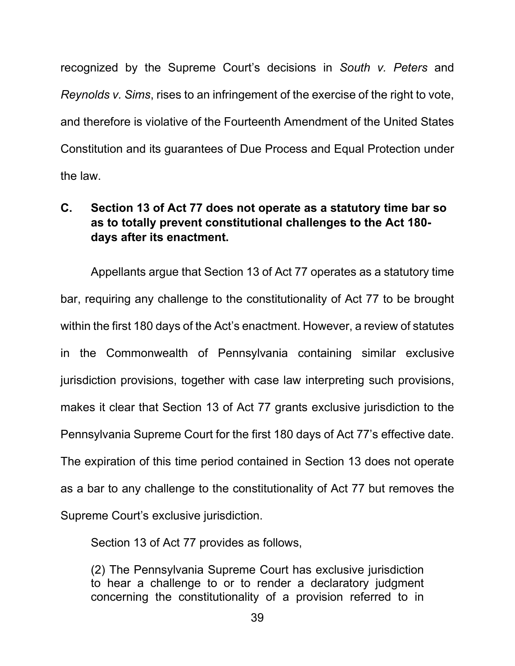recognized by the Supreme Court's decisions in *South v. Peters* and *Reynolds v. Sims*, rises to an infringement of the exercise of the right to vote, and therefore is violative of the Fourteenth Amendment of the United States Constitution and its guarantees of Due Process and Equal Protection under the law.

## <span id="page-42-0"></span>**C. Section 13 of Act 77 does not operate as a statutory time bar so as to totally prevent constitutional challenges to the Act 180 days after its enactment.**

Appellants argue that Section 13 of Act 77 operates as a statutory time bar, requiring any challenge to the constitutionality of Act 77 to be brought within the first 180 days of the Act's enactment. However, a review of statutes in the Commonwealth of Pennsylvania containing similar exclusive jurisdiction provisions, together with case law interpreting such provisions, makes it clear that Section 13 of Act 77 grants exclusive jurisdiction to the Pennsylvania Supreme Court for the first 180 days of Act 77's effective date. The expiration of this time period contained in Section 13 does not operate as a bar to any challenge to the constitutionality of Act 77 but removes the Supreme Court's exclusive jurisdiction.

Section 13 of Act 77 provides as follows,

(2) The Pennsylvania Supreme Court has exclusive jurisdiction to hear a challenge to or to render a declaratory judgment concerning the constitutionality of a provision referred to in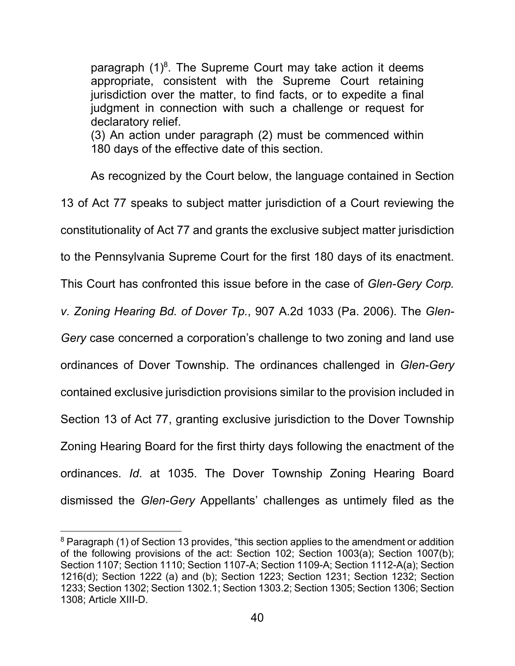paragraph  $(1)^8$ . The Supreme Court may take action it deems appropriate, consistent with the Supreme Court retaining jurisdiction over the matter, to find facts, or to expedite a final judgment in connection with such a challenge or request for declaratory relief. (3) An action under paragraph (2) must be commenced within 180 days of the effective date of this section.

As recognized by the Court below, the language contained in Section 13 of Act 77 speaks to subject matter jurisdiction of a Court reviewing the constitutionality of Act 77 and grants the exclusive subject matter jurisdiction to the Pennsylvania Supreme Court for the first 180 days of its enactment. This Court has confronted this issue before in the case of *Glen-Gery Corp. v. Zoning Hearing Bd. of Dover Tp.*, 907 A.2d 1033 (Pa. 2006). The *Glen-Gery* case concerned a corporation's challenge to two zoning and land use ordinances of Dover Township. The ordinances challenged in *Glen-Gery* contained exclusive jurisdiction provisions similar to the provision included in Section 13 of Act 77, granting exclusive jurisdiction to the Dover Township Zoning Hearing Board for the first thirty days following the enactment of the ordinances. *Id*. at 1035. The Dover Township Zoning Hearing Board dismissed the *Glen-Gery* Appellants' challenges as untimely filed as the

<sup>&</sup>lt;sup>8</sup> Paragraph (1) of Section 13 provides, "this section applies to the amendment or addition of the following provisions of the act: Section 102; Section 1003(a); Section 1007(b); Section 1107; Section 1110; Section 1107-A; Section 1109-A; Section 1112-A(a); Section 1216(d); Section 1222 (a) and (b); Section 1223; Section 1231; Section 1232; Section 1233; Section 1302; Section 1302.1; Section 1303.2; Section 1305; Section 1306; Section 1308; Article XIII-D.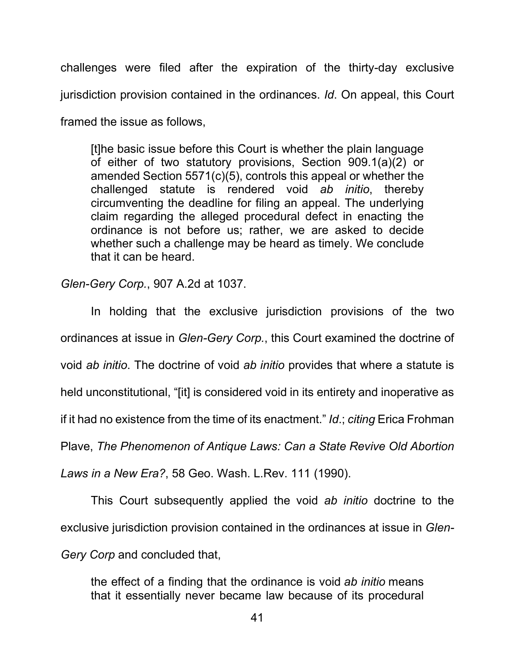challenges were filed after the expiration of the thirty-day exclusive jurisdiction provision contained in the ordinances. *Id*. On appeal, this Court framed the issue as follows,

[t]he basic issue before this Court is whether the plain language of either of two statutory provisions, Section 909.1(a)(2) or amended Section 5571(c)(5), controls this appeal or whether the challenged statute is rendered void *ab initio*, thereby circumventing the deadline for filing an appeal. The underlying claim regarding the alleged procedural defect in enacting the ordinance is not before us; rather, we are asked to decide whether such a challenge may be heard as timely. We conclude that it can be heard.

*Glen-Gery Corp.*, 907 A.2d at 1037.

In holding that the exclusive jurisdiction provisions of the two ordinances at issue in *Glen-Gery Corp.*, this Court examined the doctrine of void *ab initio*. The doctrine of void *ab initio* provides that where a statute is held unconstitutional, "[it] is considered void in its entirety and inoperative as if it had no existence from the time of its enactment." *Id*.; *citing* Erica Frohman Plave, *The Phenomenon of Antique Laws: Can a State Revive Old Abortion Laws in a New Era?*, 58 Geo. Wash. L.Rev. 111 (1990).

This Court subsequently applied the void *ab initio* doctrine to the exclusive jurisdiction provision contained in the ordinances at issue in *Glen-Gery Corp* and concluded that,

the effect of a finding that the ordinance is void *ab initio* means that it essentially never became law because of its procedural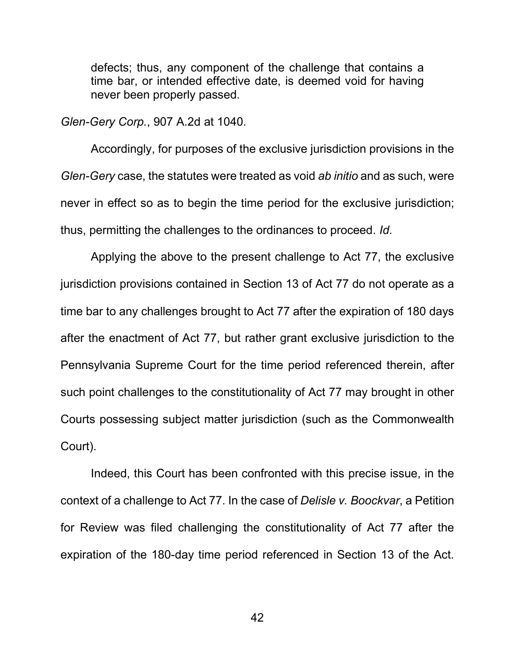defects; thus, any component of the challenge that contains a time bar, or intended effective date, is deemed void for having never been properly passed.

*Glen-Gery Corp.*, 907 A.2d at 1040.

Accordingly, for purposes of the exclusive jurisdiction provisions in the *Glen-Gery* case, the statutes were treated as void *ab initio* and as such, were never in effect so as to begin the time period for the exclusive jurisdiction; thus, permitting the challenges to the ordinances to proceed. *Id*.

Applying the above to the present challenge to Act 77, the exclusive jurisdiction provisions contained in Section 13 of Act 77 do not operate as a time bar to any challenges brought to Act 77 after the expiration of 180 days after the enactment of Act 77, but rather grant exclusive jurisdiction to the Pennsylvania Supreme Court for the time period referenced therein, after such point challenges to the constitutionality of Act 77 may brought in other Courts possessing subject matter jurisdiction (such as the Commonwealth Court).

Indeed, this Court has been confronted with this precise issue, in the context of a challenge to Act 77. In the case of *Delisle v. Boockvar*, a Petition for Review was filed challenging the constitutionality of Act 77 after the expiration of the 180-day time period referenced in Section 13 of the Act.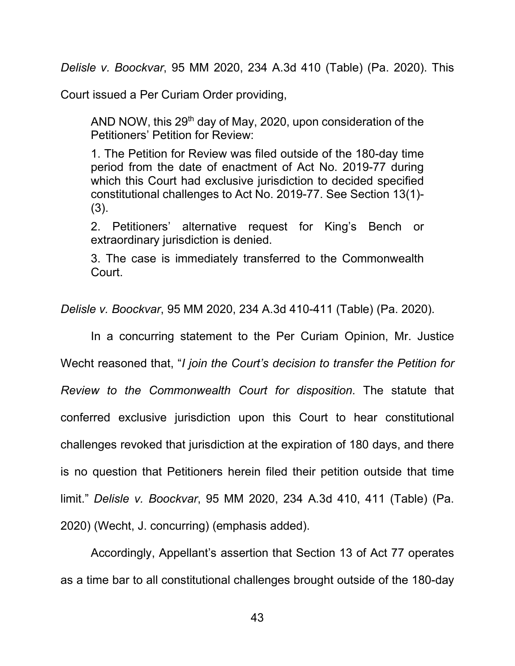*Delisle v. Boockvar*, 95 MM 2020, 234 A.3d 410 (Table) (Pa. 2020). This

Court issued a Per Curiam Order providing,

AND NOW, this 29<sup>th</sup> day of May, 2020, upon consideration of the Petitioners' Petition for Review:

1. The Petition for Review was filed outside of the 180-day time period from the date of enactment of Act No. 2019-77 during which this Court had exclusive jurisdiction to decided specified constitutional challenges to Act No. 2019-77. See Section 13(1)- (3).

2. Petitioners' alternative request for King's Bench or extraordinary jurisdiction is denied.

3. The case is immediately transferred to the Commonwealth Court.

*Delisle v. Boockvar*, 95 MM 2020, 234 A.3d 410-411 (Table) (Pa. 2020).

In a concurring statement to the Per Curiam Opinion, Mr. Justice

Wecht reasoned that, "*I join the Court's decision to transfer the Petition for* 

*Review to the Commonwealth Court for disposition*. The statute that

conferred exclusive jurisdiction upon this Court to hear constitutional

challenges revoked that jurisdiction at the expiration of 180 days, and there

is no question that Petitioners herein filed their petition outside that time

limit." *Delisle v. Boockvar*, 95 MM 2020, 234 A.3d 410, 411 (Table) (Pa.

2020) (Wecht, J. concurring) (emphasis added).

Accordingly, Appellant's assertion that Section 13 of Act 77 operates as a time bar to all constitutional challenges brought outside of the 180-day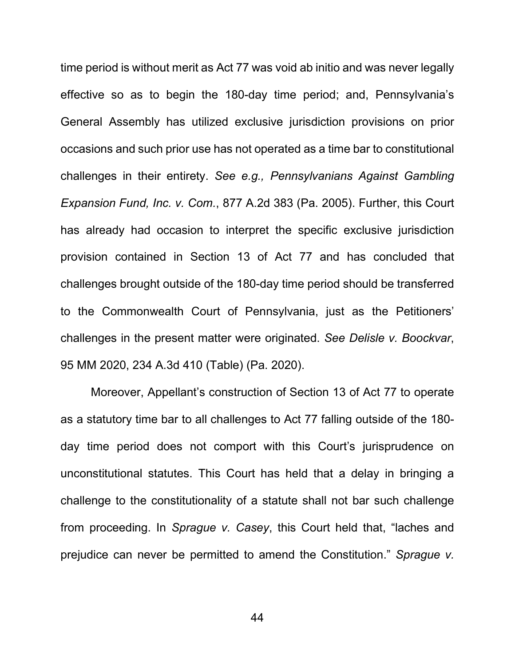time period is without merit as Act 77 was void ab initio and was never legally effective so as to begin the 180-day time period; and, Pennsylvania's General Assembly has utilized exclusive jurisdiction provisions on prior occasions and such prior use has not operated as a time bar to constitutional challenges in their entirety. *See e.g., Pennsylvanians Against Gambling Expansion Fund, Inc. v. Com.*, 877 A.2d 383 (Pa. 2005). Further, this Court has already had occasion to interpret the specific exclusive jurisdiction provision contained in Section 13 of Act 77 and has concluded that challenges brought outside of the 180-day time period should be transferred to the Commonwealth Court of Pennsylvania, just as the Petitioners' challenges in the present matter were originated. *See Delisle v. Boockvar*, 95 MM 2020, 234 A.3d 410 (Table) (Pa. 2020).

Moreover, Appellant's construction of Section 13 of Act 77 to operate as a statutory time bar to all challenges to Act 77 falling outside of the 180 day time period does not comport with this Court's jurisprudence on unconstitutional statutes. This Court has held that a delay in bringing a challenge to the constitutionality of a statute shall not bar such challenge from proceeding. In *Sprague v. Casey*, this Court held that, "laches and prejudice can never be permitted to amend the Constitution." *Sprague v.*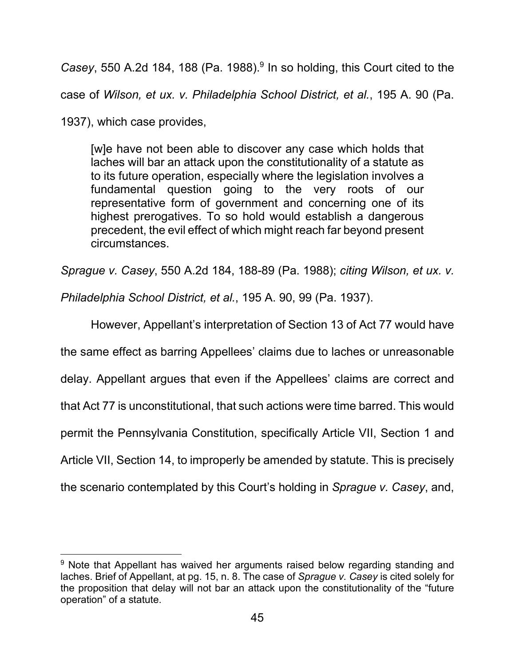Casey, 550 A.2d 184, 188 (Pa. 1988).<sup>9</sup> In so holding, this Court cited to the case of *Wilson, et ux. v. Philadelphia School District, et al.*, 195 A. 90 (Pa.

1937), which case provides,

[w]e have not been able to discover any case which holds that laches will bar an attack upon the constitutionality of a statute as to its future operation, especially where the legislation involves a fundamental question going to the very roots of our representative form of government and concerning one of its highest prerogatives. To so hold would establish a dangerous precedent, the evil effect of which might reach far beyond present circumstances.

*Sprague v. Casey*, 550 A.2d 184, 188-89 (Pa. 1988); *citing Wilson, et ux. v.* 

*Philadelphia School District, et al.*, 195 A. 90, 99 (Pa. 1937).

However, Appellant's interpretation of Section 13 of Act 77 would have the same effect as barring Appellees' claims due to laches or unreasonable delay. Appellant argues that even if the Appellees' claims are correct and that Act 77 is unconstitutional, that such actions were time barred. This would permit the Pennsylvania Constitution, specifically Article VII, Section 1 and Article VII, Section 14, to improperly be amended by statute. This is precisely the scenario contemplated by this Court's holding in *Sprague v. Casey*, and,

<sup>&</sup>lt;sup>9</sup> Note that Appellant has waived her arguments raised below regarding standing and laches. Brief of Appellant, at pg. 15, n. 8. The case of *Sprague v. Casey* is cited solely for the proposition that delay will not bar an attack upon the constitutionality of the "future operation" of a statute.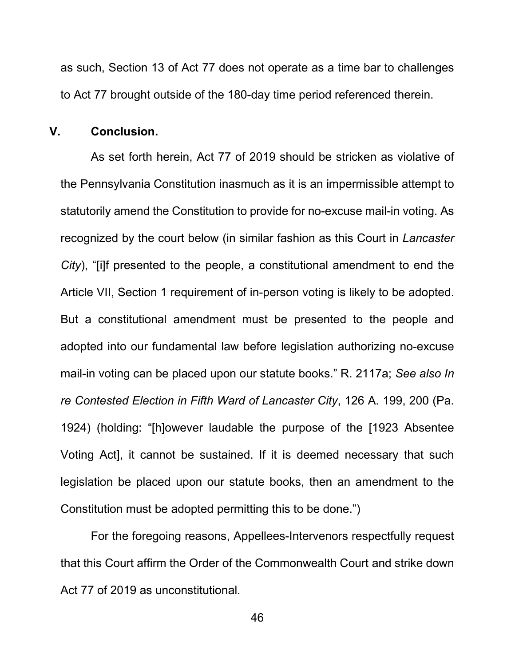as such, Section 13 of Act 77 does not operate as a time bar to challenges to Act 77 brought outside of the 180-day time period referenced therein.

#### <span id="page-49-0"></span>**V. Conclusion.**

As set forth herein, Act 77 of 2019 should be stricken as violative of the Pennsylvania Constitution inasmuch as it is an impermissible attempt to statutorily amend the Constitution to provide for no-excuse mail-in voting. As recognized by the court below (in similar fashion as this Court in *Lancaster City*), "[i]f presented to the people, a constitutional amendment to end the Article VII, Section 1 requirement of in-person voting is likely to be adopted. But a constitutional amendment must be presented to the people and adopted into our fundamental law before legislation authorizing no-excuse mail-in voting can be placed upon our statute books." R. 2117a; *See also In re Contested Election in Fifth Ward of Lancaster City*, 126 A. 199, 200 (Pa. 1924) (holding: "[h]owever laudable the purpose of the [1923 Absentee Voting Act], it cannot be sustained. If it is deemed necessary that such legislation be placed upon our statute books, then an amendment to the Constitution must be adopted permitting this to be done.")

For the foregoing reasons, Appellees-Intervenors respectfully request that this Court affirm the Order of the Commonwealth Court and strike down Act 77 of 2019 as unconstitutional.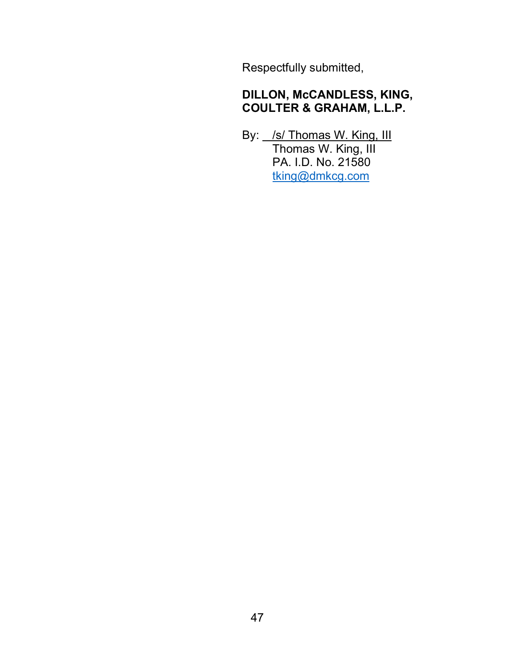Respectfully submitted,

## **DILLON, McCANDLESS, KING, COULTER & GRAHAM, L.L.P.**

By: *\_/s/* Thomas W. King, III Thomas W. King, III PA. I.D. No. 21580 tking@dmkcg.com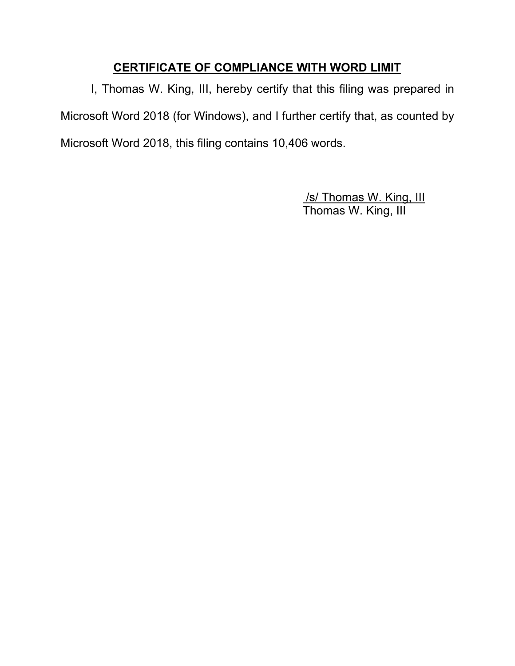### **CERTIFICATE OF COMPLIANCE WITH WORD LIMIT**

I, Thomas W. King, III, hereby certify that this filing was prepared in Microsoft Word 2018 (for Windows), and I further certify that, as counted by Microsoft Word 2018, this filing contains 10,406 words.

> /s/ Thomas W. King, III Thomas W. King, III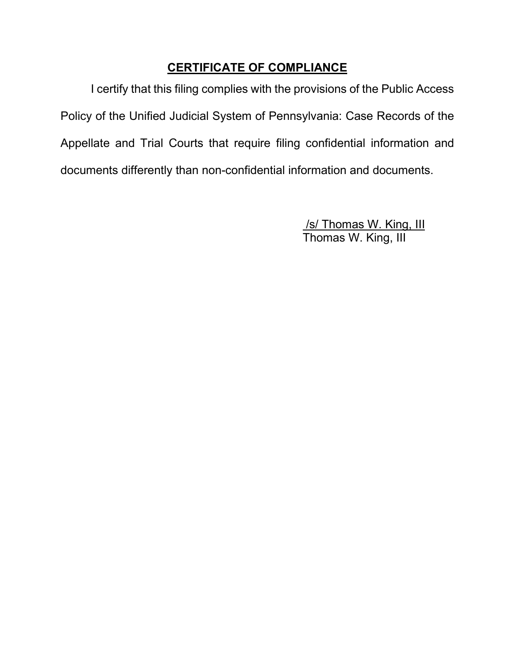## **CERTIFICATE OF COMPLIANCE**

I certify that this filing complies with the provisions of the Public Access Policy of the Unified Judicial System of Pennsylvania: Case Records of the Appellate and Trial Courts that require filing confidential information and documents differently than non-confidential information and documents.

> /s/ Thomas W. King, III Thomas W. King, III